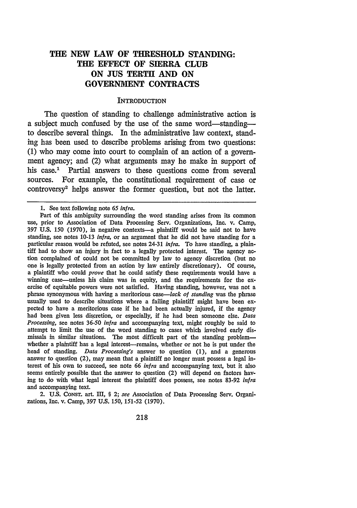# **THE NEW LAW OF THRESHOLD STANDING: THE EFFECT OF SIERRA CLUB ON JUS TERTII AND ON GOVERNMENT CONTRACTS**

### **INTRODUCTION**

The question of standing to challenge administrative action is a subject much confused by the use of the same word—standing to describe several things. In the administrative law context, standing has been used to describe problems arising from two questions: (1) who may come into court to complain of an action of a government agency; and (2) what arguments may he make in support of his case.<sup>1</sup> Partial answers to these questions come from several sources. For example, the constitutional requirement of case or controversy' helps answer the former question, but not the latter.

2. U.S. CONST. art. III, § 2; *see* Association of Data Processing Serv. Organizations, Inc. v. Camp, 397 U.S. 150, 151-52 (1970).

<sup>1.</sup> See text following note *65 infra.*

Part of this ambiguity surrounding the word standing arises from its common use, prior to Association of Data Processing Serv. Organizations, Inc. v. Camp, 397 U.S. 150 (1970), in negative contexts-a plaintiff would be said not to have standing, see notes 10-13 *infra,* or an argument that he did not have standing for a particular reason would be refuted, see notes 24-31 *infra.* To have standing, a plaintiff had to show an injury in fact to a legally protected interest. The agency action complained of could not be committed by law to agency discretion (but no one is legally protected from an action by law entirely discretionary). Of course, a plaintiff who could *prove* that he could satisfy these requirements would have a winning case—unless his claim was in equity, and the requirements for the exercise of equitable powers were not satisfied. Having standing, however, was not a phrase synonymous with having a meritorious *case-lack of standing* was the phrase usually used to describe situations where a failing plaintiff might have been expected to have a meritorious case if he had been actually injured, if the agency had been given less discretion, or especially, if he had been someone else. *Data Processing,* see notes 36-50 *infra* and accompanying text, might roughly be said to attempt to limit the use of the word standing to cases which involved early dismissals in similar situations. The most difficult part of the standing problemwhether a plaintiff has a legal interest-remains, whether or not he is put under the head of standing. *Data Processing's* answer to question (1), and a generous answer to question (2), may mean that a plaintiff no longer must possess a legal interest of his own to succeed, see note 66 *infra* and accompanying text, but it also seems entirely possible that the answer to question (2) will depend on factors having to do with what legal interest the plaintiff does possess, see notes 83-92 *infra* and accompanying text.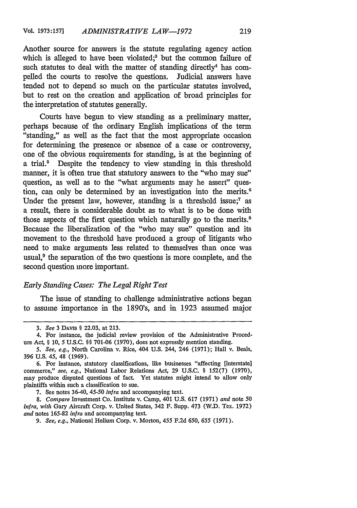Another source for answers is the statute regulating agency action which is alleged to have been violated;<sup>3</sup> but the common failure of such statutes to deal with the matter of standing directly<sup>4</sup> has compelled the courts to resolve the questions. Judicial answers have tended not to depend so much on the particular statutes involved, but to rest on the creation and application of broad principles for the interpretation of statutes generally.

Courts have begun to view standing as a preliminary matter, perhaps because of the ordinary English implications of the term "standing," as well as the fact that the most appropriate occasion for determining the presence or absence of a case or controversy, one of the obvious requirements for standing, is at the beginning of a trial.<sup>5</sup> Despite the tendency to view standing in this threshold manner, it is often true that statutory answers to the "who may sue" question, as well as to the "what arguments may he assert" question, can only be determined by an investigation into the merits.<sup>6</sup> Under the present law, however, standing is a threshold issue; $<sup>7</sup>$  as</sup> a result, there is considerable doubt as to what is to be done with those aspects of the first question which naturally go to the merits.<sup>8</sup> Because the liberalization of the "who may sue" question and its movement to the threshold have produced a group of litigants who need to make arguments less related to themselves than once was usual,<sup>9</sup> the separation of the two questions is more complete, and the second question more important.

## *Early Standing Cases: The Legal Right Test*

The issue of standing to challenge administrative actions began to assume importance in the 1890's, and in 1923 assumed major

<sup>3.</sup> *See* 3 DAvis § 22.03, at 213.

<sup>4.</sup> For instance, the judicial review provision of the Administrative Procedure Act, § 10, 5 U.S.C. §§ 701-06 (1970), does not expressly mention standing.

*<sup>5.</sup> See, e.g.,* North Carolina v. Rice, 404 U.S. 244, 246 (1971); Hall v. Beals, 396 U.S. 45, 48 (1969).

<sup>6.</sup> For instance, statutory classifications, like businesses "affecting [interstate] commerce," *see, e.g.,* National Labor Relations Act, 29 U.S.C. § 152(7) (1970), may produce disputed questions of fact. Yet statutes might intend to allow only plaintiffs within such a classification to sue.

<sup>7.</sup> See notes 36-40, 45-50 *infra* and accompanying text.

*<sup>8.</sup> Compare* Investment Co. Institute v. Camp, 401 U.S. 617 (1971) *and* note 50 *infra, with* Gary Aircraft Corp. v. United States, 342 F. Supp. 473 (W.D. Tex. 1972) *and* notes 165-82 *infra* and accompanying text.

*<sup>9.</sup> See, e.g.,* National Helium Corp. v. Morton, 455 F.2d 650, *655* (1971).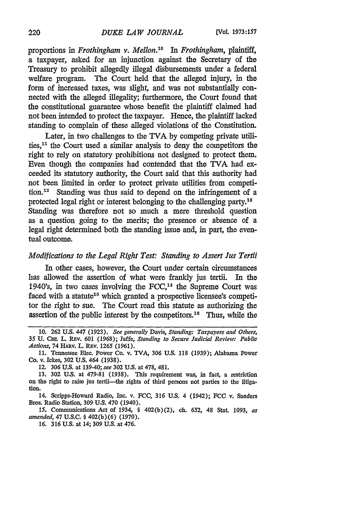proportions in *Frothingham v. Mellon.'0 In Frothingham, plaintiff,* a taxpayer, asked for an injunction against the Secretary of the Treasury to prohibit allegedly illegal disbursements under a federal welfare program. The Court held that the alleged injury, in the form of increased taxes, was slight, and was not substantially connected with the alleged illegality; furthermore, the Court found that the constitutional guarantee whose benefit the plaintiff claimed had not been intended to protect the taxpayer. Hence, the plaintiff lacked standing to complain of these alleged violations of the Constitution.

Later, in two challenges to the TVA by competing private utilities, $11$  the Court used a similar analysis to deny the competitors the right to rely on statutory prohibitions not designed to protect them. Even though the companies had contended that the TVA had exceeded its statutory authority, the Court said that this authority had not been limited in order to protect private utilities from competition.<sup>12</sup> Standing was thus said to depend on the infringement of a protected legal right or interest belonging to the challenging party.<sup>18</sup> Standing was therefore not so much a mere threshold question as a question going to the merits; the presence or absence of a legal right determined both the standing issue and, in part, the eventual outcome.

# *Modifications to the Legal Right Test: Standing to Assert Jus Tertii*

In other cases, however, the Court under certain circumstances has allowed the assertion of what were frankly jus tertii. In the 1940's, in two cases involving the  $FCC$ ,<sup>14</sup> the Supreme Court was faced with a statute<sup>15</sup> which granted a prospective licensee's competitor the right to sue. The Court read this statute as authorizing the assertion of the public interest by the competitors.<sup>16</sup> Thus, while the

<sup>10. 262</sup> U.S. 447 (1923). *See generally* Davis, *Standing: Taxpayers and Others,* 35 U. **Cm.** L. REv. 601 (1968); Jaffe, *Standing to Secure Judicial Review: Public Actions,* 74 HARV. L. REv. 1265 (1961).

<sup>11.</sup> Tennessee Elec. Power Co. v. TVA, 306 U.S. 118 (1939); Alabama Power Co. v. Ickes, 302 U.S. 464 (1938).

<sup>12. 306</sup> U.S. at 139-40; *see* 302 U.S. at 478, 481.

<sup>13.</sup> **302** U.S. at 479-81 (1938). This requirement was, in fact, a restriction on the right to raise jus tertii-the rights of third persons not parties to the litigation.

<sup>14.</sup> Scripps-Howard Radio, Inc. v. FCC, 316 **U.S.** 4 (1942); **FCC** v. Sanders Bros. Radio Station, 309 U.S. 470 (1940).

<sup>15.</sup> Communications Act of 1934, § 402(b)(2), ch. 652, 48 Stat. 1093, *as amended,* 47 U.S.C. § 402(b)(6) (1970).

*<sup>16.</sup>* 316 U.S. at 14; 309 U.S. at 476.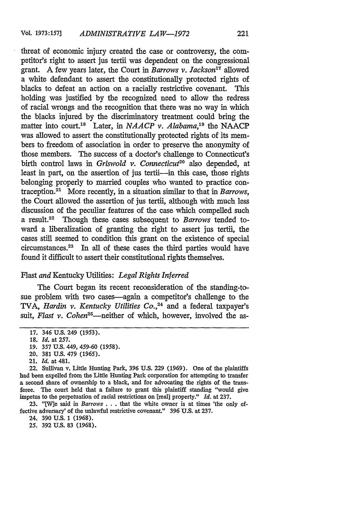threat of economic injury created the case or controversy, the competitor's right to assert jus tertii was dependent on the congressional grant. A few years later, the Court in *Barrows v. Jackson*<sup>17</sup> allowed a white defendant to assert the constitutionally protected rights of blacks to defeat an action on a racially restrictive covenant. This holding was justified by the recognized need to allow the redress of racial wrongs and the recognition that there was no way in which the blacks injured by the discriminatory treatment could bring the matter into court.18 Later, in *NAACP v. Alabama,"9* the NAACP was allowed to assert the constitutionally protected rights of its members to freedom of association in order to preserve the anonymity of those members. The success of a doctor's challenge to Connecticut's birth control laws in *Griswold v. Connecticut<sup>20</sup>* also depended, at least in part, on the assertion of jus tertii-in this case, those rights belonging properly to married couples who wanted to practice contraception.<sup>21</sup> More recently, in a situation similar to that in *Barrows*, the Court allowed the assertion of jus tertii, although with much less discussion of the peculiar features of the case which compelled such a result.22 Though these cases subsequent to *Barrows* tended toward a liberalization of granting the right to assert jus tertii, the cases still seemed to condition this grant on the existence of special circumstances.23 In all of these cases the third parties would have found it difficult to assert their constitutional rights themselves.

#### Flast *and* Kentucky Utilities: *Legal Rights Inferred*

The Court began its recent reconsideration of the standing-tosue problem with two cases—again a competitor's challenge to the TVA, *Hardin v. Kentucky Utilities Co.*<sup>24</sup> and a federal taxpayer's suit, Flast v. Cohen<sup>25</sup>—neither of which, however, involved the as-

- 20. 381 U.S. 479 **(1965).**
- 21. *Id.* at 481.

22. Sullivan v. little Hunting Park, 396 U.S. 229 (1969). One of the plaintiffs had been expelled from the Little Hunting Park corporation for attempting to transfer a second share of ownership to a black, and for advocating the rights of the transferee. The court held that a failure to grant this plaintiff standing "would give impetus to the perpetuation of racial restrictions on (real] property." *Id.* at 237.

23. "[W]e said in *Barrows* . . . that the white owner is at times 'the only effective adversary' of the unlawful restrictive covenant." 396 U.S. at 237.

24. 390 U.S. 1 (1968).

25. 392 U.S. 83 (1968).

<sup>17. 346</sup> U.S. 249 (1953).

<sup>18.</sup> *Id.* at **257.**

<sup>19. 357</sup> U.S. 449, 459-60 **(1958).**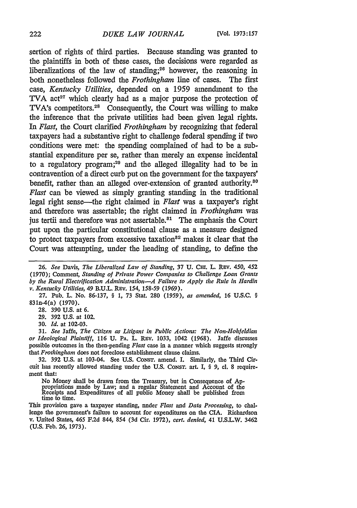sertion of rights of third parties. Because standing was granted to the plaintiffs in both of these cases, the decisions were regarded as liberalizations of the law of standing;<sup>26</sup> however, the reasoning in both nonetheless followed the *Frothingharn* line of cases. The first case, *Kentucky Utilities,* depended on a 1959 amendment to the TVA act<sup>27</sup> which clearly had as a major purpose the protection of TVA's competitors.28 Consequently, the Court was willing to make the inference that the private utilities had been given legal rights. *In Flast,* the Court clarified *Frothingham* by recognizing that federal taxpayers had a substantive right to challenge federal spending if two conditions were met: the spending complained of had to be a substantial expenditure per se, rather than merely an expense incidental to a regulatory program;<sup>29</sup> and the alleged illegality had to be in contravention of a direct curb put on the government for the taxpayers' benefit, rather than an alleged over-extension of granted authority.<sup>80</sup> *Flast* can be viewed as simply granting standing in the traditional legal right sense-the right claimed in *Flast* was a taxpayer's right and therefore was assertable; the right claimed in *Frothingham* was jus tertii and therefore was not assertable.<sup>81</sup> The emphasis the Court put upon the particular constitutional clause as a measure designed to protect taxpayers from excessive taxation $a<sup>32</sup>$  makes it clear that the Court was attempting, under the heading of standing, to define the

27. Pub. L. No. 86-137, § 1, 73 Stat. 280 *(1959), as amended, 16* U.S.C. § 831n-4(a) (1970).

28. 390 U.S. at 6.

29. 392 U.S. at 102.

30. *Id.* at 102-03.

31. *See Jaffe, The Citizen as Litigant in Public Actions: The Non-Hohfeldlan or Ideological Plaintiff, 116 U. PA. L. REV. 1033, 1042 (1968). Jaffe discusses* possible outcomes in the then-pending *Flast* case in a manner which suggests strongly *that Frothingham* does not foreclose establishment clause claims.

32. 392 U.S. at 103-04. See U.S. CONsT. amend. I. Similarly, the Third Circuit has recently allowed standing under the U.S. CONST. art. I, § 9, cl. 8 requirement that:

No Money shall be drawn from the Treasury, but in Consequence of Appropriations made by Law; and a regular Statement and Account of the Receipts and Expenditures of all public Money shall be published from time to time.

This provision gave a taxpayer standing, under *Flast and Data Processing,* to challenge the government's failure to account for expenditures on the CIA. Richardson v. United States, 465 F.2d 844, 854 (3d Cir. 1972), *cert. denied,* 41 U.S.L.W. 3462 (U.S. Feb. 26, 1973).

*<sup>26.</sup> See* Davis, *The Liberalized Law of Standing,* 37 U. Clr. L. REv. 450, 452 (1970); Comment, *Standing of Private Power Companies to Challenge Loan Grants by the Rural Electrification Administration-A Failure to Apply the Rule in Hardin v. Kentucky Utilities,* 49 B.U.L. REv. *154, 158-59* (1969).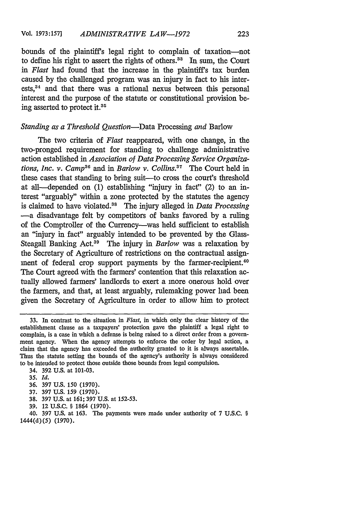bounds of the plaintiffs legal right to complain of taxation-not to define his right to assert the rights of others.<sup>33</sup> In sum, the Court *in Flast* had found that the increase in the plaintiffs tax burden caused by the challenged program was an injury in fact to his interests, 4 and that there was a rational nexus between this personal interest and the purpose of the statute or constitutional provision being asserted to protect it.35

#### *Standing as a Threshold Question-Data* Processing *and* Barlow

The two criteria of *Flast* reappeared, with one change, in the two-pronged requirement for standing to challenge administrative action established in *Association of Data Processing Service Organizations, Inc. v. Camp*<sup>36</sup> and in *Barlow v. Collins.*<sup>37</sup> The Court held in these cases that standing to bring suit-to cross the court's threshold at all-depended on (1) establishing "injury in fact" (2) to an interest "arguably" within a zone protected by the statutes the agency is claimed to have violated.<sup>38</sup> The injury alleged in *Data Processing* -a disadvantage felt by competitors of banks favored by a ruling of the Comptroller of the Currency-was held sufficient to establish an "injury in fact" arguably intended to be prevented by the Glass-Steagall Banking Act.39 The injury in *Barlow* was a relaxation by the Secretary of Agriculture of restrictions on the contractual assignment of federal crop support payments by the farmer-recipient. $40$ The Court agreed with the farmers' contention that this relaxation actually allowed farmers' landlords to exert a more onerous hold over the farmers, and that, at least arguably, rulemaking power had been given the Secretary of Agriculture in order to allow him to protect

34. 392 U.S. at 101-03.

- **35.** *Id.*
- **36. 397 U.S.** 150 **(1970).**
- **37. 397 U.S. 159 (1970).**
- **38. 397 U.S.** at **161; 397 U.S.** at **152-53.**
- **39.** 12 **U.S.C.** § 1864 **(1970).**

**<sup>33.</sup>** In contrast to the situation in *Flast,* in which only the clear history of the establishment clause as a taxpayers' protection gave the plaintiff a legal right to complain, is a case in which a defense is being raised to a direct order from a government agency. When the agency attempts to enforce the order by legal action, a claim that the agency has exceeded the authority granted to it is always assertable. Thus the statute setting the bounds of the agency's authority is always considered to be intended to protect those outside those bounds from legal compulsion.

<sup>40.</sup> **397 U.S.** at 163. The payments were made under authority of **7 U.S.C.** § 1444(d)(5) (1970).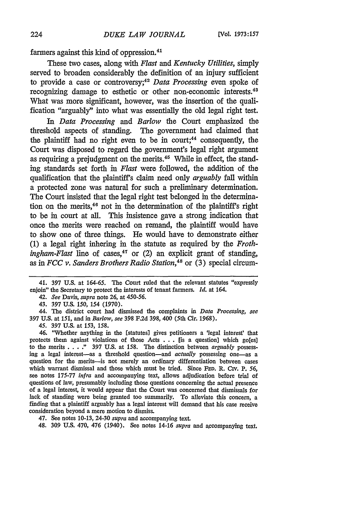farmers against this kind of oppression.<sup>41</sup>

These two cases, along with *Flast and Kentucky Utilities,* simply served to broaden considerably the definition of an injury sufficient to provide a case or controversy;<sup>42</sup> Data Processing even spoke of recognizing damage to esthetic or other non-economic interests.<sup>48</sup> What was more significant, however, was the insertion of the qualification "arguably" into what was essentially the old legal right test.

In *Data Processing and Barlow* the Court emphasized the threshold aspects of standing. The government had claimed that the plaintiff had no right even to be in court:<sup>44</sup> consequently, the Court was disposed to regard the government's legal right argument as requiring a prejudgment on the merits.<sup>45</sup> While in effect, the standing standards set forth in *Flast* were followed, the addition of the qualification that the plaintiff's claim need only *arguably* fall within a protected zone was natural for such a preliminary determination. The Court insisted that the legal right test belonged in the determination on the merits, $46$  not in the determination of the plaintiff's right to be in court at all. This insistence gave a strong indication that once the merits were reached on remand, the plaintiff would have to show one of three things. He would have to demonstrate either (1) a legal right inhering in the statute as required by the *Frothingham-Flast* line of cases,<sup>47</sup> or (2) an explicit grant of standing, as in *FCC v. Sanders Brothers Radio Station,48* or (3) special circum-

41. 397 **U.S.** at 164-65. The Court ruled that the relevant statutes "expressly enjoin" the Secretary to protect the interests of tenant farmers. *Id.* at 164.

42. *See* Davis, *supra* note 26, at 450-56.

43. 397 **U.S.** *150, 154* (1970).

44. The district court had dismissed the complaints in *Data Processing, see* 397 U.S. at 151, and in *Barlow, see* 398 F.2d 398, 400 (5th Cir. 1968).

45. 397 U.S. at 153, *158.*

46. "Whether anything in the [statutes] gives petitioners a 'legal interest' that protects them against violations of those Acts . . . [is a question] which go[es] to the merits .**. . ."** 397 U.S. at 158. The distinction between *arguably* possessing a legal interest-as a threshold question-and *actually* possessing one-as a question for the merits-is not merely an ordinary differentiation between cases which warrant dismissal and those which must be tried. Since **FED.** R. Civ. P. *56,* see notes 175-77 *infra* and accompanying text, allows adjudication before trial of questions of law, presumably including those questions concerning the actual presence of a legal interest, it would appear that the Court was concerned that dismissals for lack of standing were being granted too summarily. To alleviate this concern, a finding that a plaintiff arguably has a legal interest will demand that his case receive consideration beyond a mere motion to dismiss.

47. See notes 10-13, 24-30 *supra* and accompanying text.

48. 309 U.S. 470, 476 (1940). See notes 14-16 *supra* and accompanying text.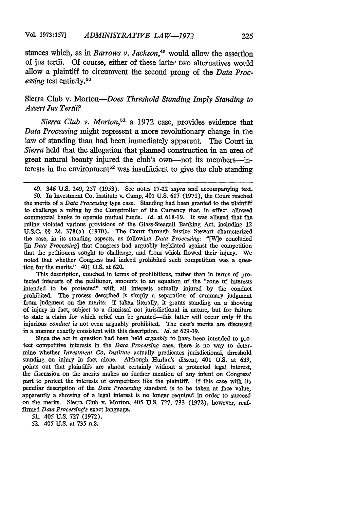stances which, as in *Barrows v. Jackson*,<sup>49</sup> would allow the assertion of jus tertii. Of course, either of these latter two alternatives would allow a plaintiff to circumvent the second prong of the *Data Processing* test entirely.<sup>50</sup>

# Sierra Club v. *Morton-Does Threshold Standing Imply Standing to Assert Jus Tertii?*

*Sierra Club v. Morton*,<sup>51</sup> a 1972 case, provides evidence that *Data Processing* might represent a more revolutionary change in the law of standing than had been immediately apparent. The Court in *Sierra* held that the allegation that planned construction in an area of great natural beauty injured the club's own-not its members-interests in the environment<sup>52</sup> was insufficient to give the club standing

This description, couched in terms of prohibitions, rather than in terms of protected interests of the petitioner, amounts to an equation of the "zone of interests intended to be protected" with all interests actually injured by the conduct prohibited. The process described is simply a separation of summary judgment from judgment on the merits: if taken literally, it grants standing on a showing of injury in fact, subject to a dismissal not jurisdictional in nature, but for failure to state a claim for which relief can be granted-this latter will occur only if the injurious *conduct* is not even arguably prohibited. The case's merits are discussed in a manner exactly consistent with this description. *Id.* at 629-39.

Since the act in question had been held *arguably* to have been intended to protect competitive interests in the *Data Processing* case, there is no way to determine whether *Investment Co. Institute* actually predicates jurisdictional, threshold standing on injury in fact alone. Although Harlan's dissent, 401 U.S. at 639, points out that plaintiffs are almost certainly without a protected legal interest, the discussion on the merits makes no further mention of any intent on Congress' part to protect the interests of competitors like the plaintiff. If this case with its peculiar description of the *Data Processing* standard is to be taken at face value, apparently a showing of a legal interest is no longer required in order to succeed on the merits. Sierra Club v. Morton, 405 U.S. 727, 733 (1972), however, reaffirmed *Data Processing's* exact language.

*51.* 405 U.S. 727 (1972).

52. 405 U.S. at 735 n.8,

<sup>49. 346</sup> U.S. 249, 257 (1953). See notes 17-22 *supra* and accompanying text. *50.* In Investment Co. Institute v. Camp, 401 U.S. 617 (1971), the Court reached the merits of a *Data Processing* type case. Standing had been granted to the plaintiff to challenge a ruling by the Comptroller of the Currency that, in effect, allowed commercial banks to operate mutual funds. *Id.* at 618-19. It was alleged that the ruling violated various provisions of the Glass-Steagall Banking Act, including 12 U.S.C. §§ 24, 378(a) (1970). The Court through Justice Stewart characterized the case, in its standing aspects, as following *Data Processing: "[W]e* concluded *[in Data Processing]* that Congress had arguably legislated against the competition that the petitioners sought to challenge, and from which flowed their injury. We noted that whether Congress had indeed prohibited such competition was a question for the merits." 401 U.S. at 620.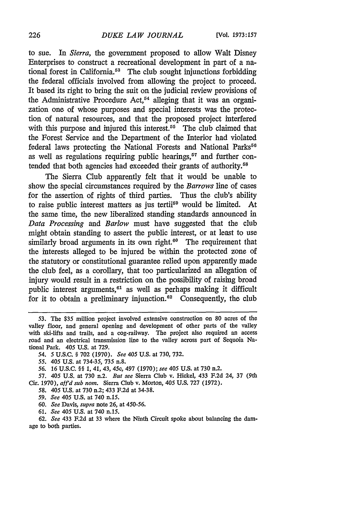to sue. In *Sierra,* the government proposed to allow Walt Disney Enterprises to construct a recreational development in part of a national forest in California.<sup>53</sup> The club sought injunctions forbidding the federal officials involved from allowing the project to proceed. It based its right to bring the suit on the judicial review provisions of the Administrative Procedure Act,<sup>54</sup> alleging that it was an organization one of whose purposes and special interests was the protection of natural resources, and that the proposed project interfered with this purpose and injured this interest.<sup>55</sup> The club claimed that the Forest Service and the Department of the Interior had violated federal laws protecting the National Forests and National Parks<sup>56</sup> as well as regulations requiring public hearings,<sup> $57$ </sup> and further contended that both agencies had exceeded their grants of authority.5s

The Sierra Club apparently felt that it would be unable to show the special circumstances required by the *Barrows* line of cases for the assertion of rights of third parties. Thus the club's ability to raise public interest matters as jus tertii<sup>59</sup> would be limited. At the same time, the new liberalized standing standards announced in *Data Processing and Barlow* must have suggested that the club might obtain standing to assert the public interest, or at least to use similarly broad arguments in its own right. $60$  The requirement that the interests alleged to be injured be within the protected zone of the statutory or constitutional guarantee relied upon apparently made the club feel, as a corollary, that too particularized an allegation of injury would result in a restriction on the possibility of raising broad public interest arguments, 6' as well as perhaps making it difficult for it to obtain a preliminary injunction.<sup>62</sup> Consequently, the club

- 58. 405 U.S. at 730 n.2; 433 F.2d at 34-38.
- *59. See 405* **U.S.** at 740 n.15.
- *60. See* Davis, *supra* note 26, at 450-56.
- *61. See* 405 U.S. at 740 n.15.

**62.** *See* 433 F.2d at 33 where the Ninth Circuit spoke about balancing the damage to both parties.

<sup>53.</sup> The \$35 million project involved extensive construction on 80 acres of the valley floor, and general opening and development of other parts of the valley with ski-lifts and trails, and a cog-railway. The project also required an access road and an electrical transmission line to the valley across part of Sequoia National Park. 405 U.S. at 729.

*<sup>54. 5</sup>* U.S.C. § 702 (1970). *See 405* U.S. at 730, 732.

*<sup>55. 405</sup>* **U.S.** at 734-35, 735 n.8.

*<sup>56.</sup> 16* **U.S.C. §§ 1,** 41, 43, 45c, 497 **(1970);** *see 405* U.S. at 730 n.2.

<sup>57. 405</sup> U.S. at 730 n.2. *But see* Sierra Club v. Hickel, 433 F.2d 24, 37 (9th Cir. 1970), *af'd sub nom.* Sierra Club v. Morton, 405 **U.S. 727 (1972).**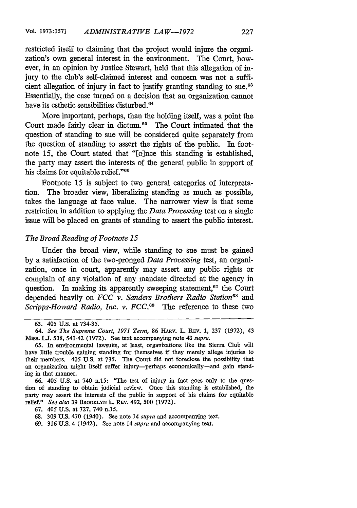restricted itself to claiming that the project would injure the organization's own general interest in the environment. The Court, however, in an opinion by Justice Stewart, held that this allegation of injury to the club's self-claimed interest and concern was not a sufficient allegation of injury in fact to justify granting standing to sue.<sup>63</sup> Essentially, the case turned on a decision that an organization cannot have its esthetic sensibilities disturbed.<sup>64</sup>

More important, perhaps, than the holding itself, was a point the Court made fairly clear in dictum.<sup>65</sup> The Court intimated that the question of standing to sue will be considered quite separately from the question of standing to assert the rights of the public. In footnote 15, the Court stated that "[o]nce this standing is established, the party may assert the interests of the general public in support of his claims for equitable relief."<sup>66</sup>

Footnote 15 is subject to two general categories of interpretation. The broader view, liberalizing standing as much as possible, takes the language at face value. The narrower view is that some restriction in addition to applying the *Data Processing* test on a single issue will be placed on grants of standing to assert the public interest.

### *The Broad Reading of Footnote 15*

Under the broad view, while standing to sue must be gained by a satisfaction of the two-pronged *Data Processing* test, an organization, once in court, apparently may assert any public rights or complain of any violation of any mandate directed at the agency in question. In making its apparently sweeping statement, $67$  the Court depended heavily on *FCC v. Sanders Brothers Radio Station*<sup>68</sup> and *Scripps-Howard Radio, Inc. v. FCC.69* The reference to these two

69. 316 U.S. 4 (1942). See note 14 *supra* and accompanying text.

<sup>63. 405</sup> U.S. at 734-35.

*<sup>64.</sup> See The Supreme Court, 1971 Term,* 86 HAnv. L. REv. 1, 237 (1972), 43 Miss. **L.J.** 538, 541-42 (1972). See text accompanying note 43 *supra.*

<sup>65.</sup> In environmental lawsuits, at least, organizations like the Sierra Club will have little trouble gaining standing for themselves if they merely allege injuries to their members. 405 U.S. at 735. The Court did not foreclose the possibility that an organization might itself suffer injury-perhaps economically-and gain standing in that manner.

*<sup>66.</sup>* 405 U.S. at 740 n.15: "The test of injury in fact goes only to the question of standing to obtain judicial review. Once this standing is established, the party may assert the interests of the public in support of his claims for equitable relief." *See also* 39 BRooKLYN L. REV. 492, 500 (1972).

<sup>67. 405</sup> U.S. at 727, 740 n.15.

<sup>68. 309</sup> **U.S.** 470 (1940). See note 14 *supra* and accompanying text.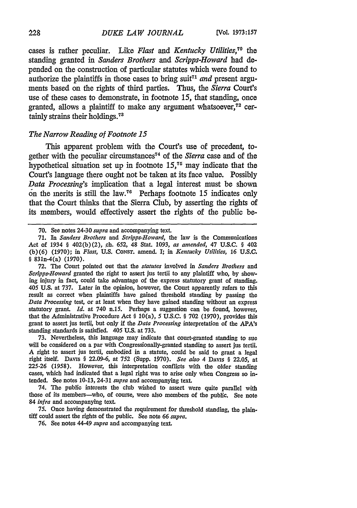cases is rather peculiar. Like *Flast and Kentucky Utilities,70 the* standing granted in *Sanders Brothers and Scripps-Howard* had depended on the construction of particular statutes which were found to authorize the plaintiffs in those cases to bring suit<sup> $71$ </sup> and present arguments based on the rights of third parties. Thus, the *Sierra* Court's use of these cases to demonstrate, in footnote 15, that standing, once granted, allows a plaintiff to make any argument whatsoever, $72$  certainly strains their holdings.73

### *The Narrow Reading of Footnote 15*

This apparent problem with the Court's use of precedent, together with the peculiar circumstances 74 of the *Sierra* case and of the hypothetical situation set up in footnote 15, 75 may indicate that the Court's language there ought not be taken at its face value. Possibly *Data Processing's* implication that a legal interest must be shown on the merits is still the law.<sup>76</sup> Perhaps footnote 15 indicates only that the Court thinks that the Sierra Club, by asserting the rights of its members, would effectively assert the rights of the public be-

73. Nevertheless, this language may indicate that court-granted standing to sue will be considered on a par with Congressionally-granted standing to assert jus tertii. A right to assert jus tertii, embodied in a statute, could be said to grant a legal right itself. DAvis § 22.09-6, at 752 (Supp. 1970). *See also* 4 DAviS § 22.05, at 225-26 (1958). However, this interpretation conflicts with the older standing cases, which had indicated that a legal right was to arise only when Congress so intended. See notes 10-13, 24-31 *supra* and accompanying text.

74. The public interests the club wished to assert were quite parallel with those of its members-who, of course, were also members of the public. See note 84 *infra* and accompanying text.

75. Once having demonstrated the requirement for threshold standing, the plaintiff could assert the rights of the public. See note *66 supra.*

**76.** See notes 44-49 *supra* and accompanying text.

<sup>70.</sup> See notes 24-30 *supra* and accompanying text.

<sup>71.</sup> In *Sanders Brothers* and *Scripps-Howard,* the law is the Communications Act of 1934 § 402(b) (2), ch. 652, 48 Stat. 1093, *as amended,* 47 U.S.C. § 402 (b) **(6)** (1970); in *Flast,* U.S. CONST. amend. **I;** in *Kentucky Utilities,* **16** U.S.C. § 831n-4(a) (1970).

**<sup>72.</sup>** The Court pointed out that the *statutes* involved in *Sanders Brothers and Scripps-Howard* granted the right to assert jus tertii to any plaintiff who, **by** showing injury in fact, could take advantage of the express statutory grant of standing. 405 U.S. at 737. Later in the opinion, however, the Court apparently refers to this result as correct when plaintiffs have gained threshold standing **by** passing the *Data Processing* test, or at least when they have gained standing without an express statutory grant. *Id.* at 740 n.15. Perhaps a suggestion can be found, however, that the Administrative Procedure Act § 10(a), 5 U.S.C. § 702 (1970), provides this grant to assert jus tertii, but only if the *Data Processing* interpretation of the APA's standing standards is satisfied. 405 **U.S.** at **733.**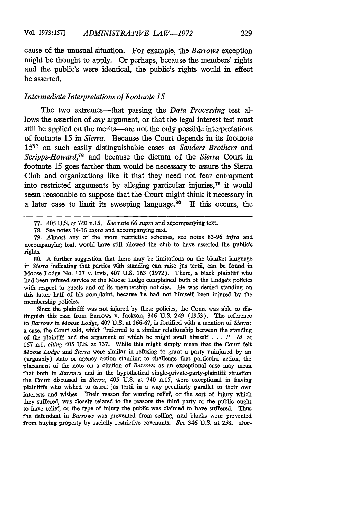cause of the unusual situation. For example, the *Barrows* exception might **be** thought to apply. Or perhaps, because the members' rights and the public's were identical, the public's rights would in effect be asserted.

### *Intermediate Interpretations of Footnote 15*

The two extremes-that passing the *Data Processing* test allows the assertion of *any* argument, or that the legal interest test must still be applied on the merits—are not the only possible interpretations of footnote **15** in *Sierra.* Because the Court depends in its footnote **<sup>15</sup> <sup>77</sup>**on such easily distinguishable cases as *Sanders Brothers and Scripps-Howard,78* and because the dictum of the *Sierra* Court in footnote **15** goes farther than would be necessary to assure the Sierra Club and organizations like it that they need not fear entrapment into restricted arguments **by** alleging particular injuries,79 it would seem reasonable to suppose that the Court might think it necessary in a later case to limit its sweeping language.<sup>80</sup> If this occurs, the

**80.** A further suggestion that there may be limitations on the blanket language *in Sierra* indicating that parties with standing can raise jus tertii, can be found in Moose Lodge No. 107 v. Irvis, 407 U.S. 163 (1972). There, a black plaintiff who had been refused service at the Moose Lodge complained both of the Lodge's policies with respect to guests and of its membership policies. He was denied standing on this latter half of his complaint, because he had not himself been injured by the membership policies.

Since the plaintiff was not injured by these policies, the Court was able to distinguish this case from Barrows v. Jackson, 346 U.S. 249 (1953). The reference to *Barrows in Moose Lodge,* 407 U.S. at 166-67, is fortified with a mention of *Sierra:* a case, the Court said, which "referred to a similar relationship between the standing of the plaintiff and the argument of which he might avail himself . **. . ."** *Id.* at **167** n.1, *citing* 405 U.S. at 737. While this might simply mean that the Court felt *Moose Lodge and Sierra* were similar in refusing to grant a party uninjured by an (arguably) state or agency action standing to challenge that particular action, the placement of the note on a citation of *Barrows* as an exceptional case may mean that both in *Barrows* and in the hypothetical single-private-party-plaintiff situation the Court discussed in *Sierra,* 405 U.S. at 740 n.15, were exceptional in having plaintiffs who wished to assert jus tertii in a way peculiarly parallel to their own interests and wishes. Their reason for wanting relief, or the sort of injury which they suffered, was closely related to the reasons the third party or the public ought to have relief, or the type of injury the public was claimed to have suffered. Thus the defendant in *Barrows* was prevented from selling, and blacks were prevented from buying property by racially restrictive covenants. *See* 346 U.S. at 258. Doe-

<sup>77. 405</sup> U.S. at 740 n.15. *See* note 66 *supra* and accompanying text.

<sup>78.</sup> See notes 14-16 *supra* and accompanying text.

<sup>79.</sup> Almost any of the more restrictive schemes, see notes 83-96 *infra* and accompanying text, would have still allowed the club to have asserted the public's rights.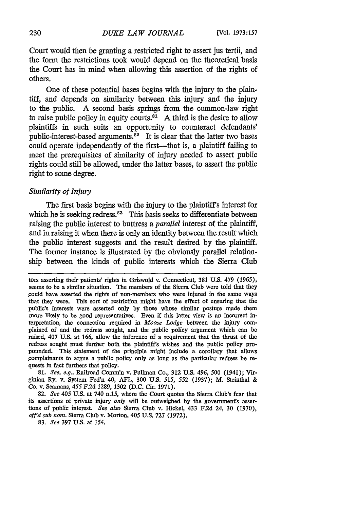Court would then be granting a restricted right to assert jus tertii, and the form the restrictions took would depend on the theoretical basis the Court has in mind when allowing this assertion of the rights of others.

One of these potential bases begins with the injury to the plaintiff, and depends on similarity between this injury and the injury to the public. A second basis springs from the common-law right to raise public policy in equity courts. $81$  A third is the desire to allow plaintiffs in such suits an opportunity to counteract defendants' public-interest-based arguments. $\overrightarrow{a}$ <sup>2</sup> It is clear that the latter two bases could operate independently of the first-that is, a plaintiff failing to meet the prerequisites of similarity of injury needed to assert public rights could still be allowed, under the latter bases, to assert the public right to some degree.

#### *Similarity of Injury*

The first basis begins with the injury to the plaintiff's interest for which he is seeking redress.<sup>83</sup> This basis seeks to differentiate between raising the public interest to buttress a *parallel* interest of the plaintiff, and in raising it when there is only an identity between the result which the public interest suggests and the result desired by the plaintiff. The former instance is illustrated by the obviously parallel relationship between the kinds of public interests which the Sierra Club

81. *See, e.g.,* Railroad Comm'n v. Pullman Co., 312 U.S. 496, 500 (1941); Virginian Ry. v. System Fed'n 40, *AFL,* 300 U.S. *515,* 552 (1937); M. Steinthal & Co. v. Seamans, 455 F.2d 1289, 1302 (D.C. Cir. 1971).

82. *See* 405 U.S. at 740 n.15, where the Court quotes the Sierra Club's fear that its assertions of private injury *only* will be outweighed by the government's assertions of public interest. *See also* Sierra Club v. Hickel, 433 F.2d 24, 30 (1970), *aff'd sub nor.* Sierra Club v. Morton, 405 U.S. 727 (1972).

83. *See* 397 U.S. at 154.

tors asserting their patients' rights in Griswold v. Connecticut, 381 U.S. 479 (1965), seems to be a similar situation. The members of the Sierra Club were told that they ,could have asserted the rights of non-members who were injured in the same ways that they were. This sort of restriction might have the effect of ensuring that the public's interests were asserted only by those whose similar posture made them more likely to be good representatives. Even if this latter view is an incorrect interpretation, the connection required in *Moose Lodge* between the injury complained of and the redress sought, and the public policy argument which can be raised, 407 U.S. at 166, allow the inference of a requirement that the thrust of the redress sought must further both the plaintiff's wishes and the public policy propounded. This statement of the principle might include a corollary that allows complainants to argue a public policy only as long as the particular redress he requests in fact furthers that policy.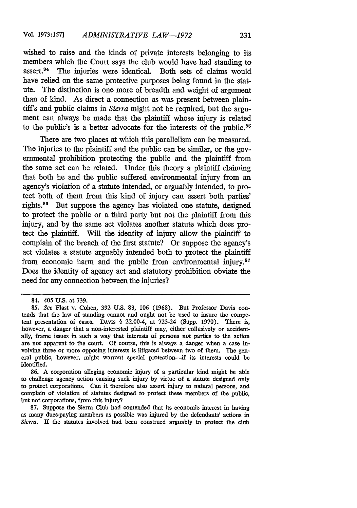wished to raise and the kinds of private interests belonging to its members which the Court says the club would have had standing to assert.84 The injuries were identical. Both sets of claims would have relied on the same protective purposes being found in the statute. The distinction is one more of breadth and weight of argument than of kind. As direct a connection as was present between plaintiff's and public claims in *Sierra* might not be required, but the argument can always be made that the plaintiff whose injury is related to the public's is a better advocate for the interests of the public.<sup>85</sup>

There are two places at which this parallelism can be measured. The injuries to the plaintiff and the public can be similar, or the governmental prohibition protecting the public and the plaintiff from the same act can be related. Under this theory a plaintiff claiming that both he and the public suffered environmental injury from an agency's violation of a statute intended, or arguably intended, to protect both of them from this kind of injury can assert both parties' rights.<sup>86</sup> But suppose the agency has violated one statute, designed to protect the public or a third party but not the plaintiff from this injury, and by the same act violates another statute which does protect the plaintiff. Will the identity of injury allow the plaintiff to complain of the breach of the first statute? Or suppose the agency's act violates a statute arguably intended both to protect the plaintiff from economic harm and the public from environmental injury. $87$ Does the identity of agency act and statutory prohibition obviate the need for any connection between the injuries?

86. A corporation alleging economic injury of a particular kind might be able to challenge agency action causing such injury by virtue of a statute designed only to protect corporations. Can it therefore also assert injury to natural persons, and complain of violation of statutes designed to protect these members of the public, but not corporations, from this injury?

87. Suppose the Sierra Club had contended that its economic interest in having as many dues-paying members as possible was injured by the defendants' actions in *Sierra.* If the statutes involved had been construed arguably to protect the club

<sup>84. 405</sup> **U.S.** at 739.

*<sup>85.</sup> See* Flast v. Cohen, 392 U.S. 83, **106** (1968). But Professor Davis contends that the law of standing cannot and ought not be used to insure the competent presentation of cases. DAvis § 22.00-4, at 723-24 (Supp. 1970). There is, however, a danger that a non-interested plaintiff may, either collusively or accidentally, frame issues in such a way that interests of persons not parties to the action are not apparent to the court. Of course, this is always a danger when a case involving three or more opposing interests is litigated between two of them. The general public, however, might warrant special protection-if its interests could be identified.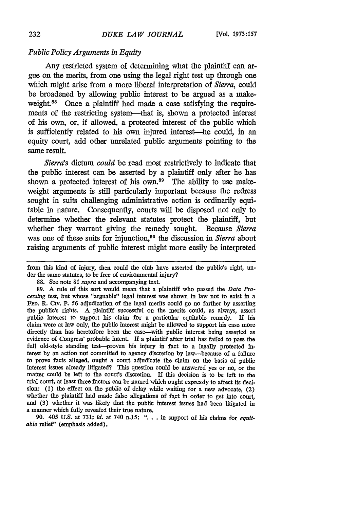#### *Public Policy Arguments in Equity*

Any restricted system of determining what the plaintiff can argue on the merits, from one using the legal right test up through one which might arise from a more liberal interpretation of *Sierra,* could be broadened **by** allowing public interest to **be** argued as a makeweight.<sup>88</sup> Once a plaintiff had made a case satisfying the requirements of the restricting system-that is, shown a protected interest of his own, or, **if** allowed, a protected interest of the public which is sufficiently related to his own injured interest-he could, in an equity court, add other unrelated public arguments pointing to the same result.

*Sierra's dictum could* be read most restrictively to indicate that the public interest can be asserted **by** a plaintiff only after he has shown a protected interest of his own.<sup>89</sup> The ability to use makeweight arguments is still particularly important because the redress sought in suits challenging administrative action is ordinarily equitable in nature. Consequently, courts will be disposed not only to determine whether the relevant statutes protect the plaintiff, but whether they warrant giving the remedy sought. Because *Sierra* was one of these suits for injunction,90 the discussion in *Sierra* about raising arguments of public interest might more easily be interpreted

90. *405* U.S. at 731; *id.* at 740 n.15: "... in support of his claims for *equitable* relief' (emphasis added).

from this kind of injury, then could the club have asserted the public's right, under the same statutes, to be free of environmental injury?

<sup>88.</sup> See note 81 *supra* and accompanying text.

<sup>89.</sup> **A** rule of this sort would mean that a plaintiff who passed the *Data Processing* test, but whose "arguable" legal interest was shown in law not to exist in a FED. R. CIV. P. 56 adjudication of the legal merits could go no farther by asserting the public's rights. **A** plaintiff successful on the merits could, as always, assert public interest to support his claim for a particular equitable remedy. If his claim were at law only, the public interest might be allowed to support his case more directly than has heretofore been the case-with public interest being asserted as evidence of Congress' probable intent. If a plaintiff after trial has failed to pass the full old-style standing test-proven his injury in fact to a legally protected interest by an action not committed to agency discretion by law-because of a failure to prove facts alleged, ought a court adjudicate the claim on the basis of public interest issues already litigated? This question could be answered yes or no, or the matter could be left to the court's discretion. If this decision is to be left to the trial court, at least three factors can be named which ought expressly to affect its decision: (1) the effect on the public of delay while waiting for a new advocate, (2) whether the plaintiff had made false allegations of fact in order to get into court, and (3) whether it was likely that the public interest issues had been litigated in a manner which fully revealed their true nature.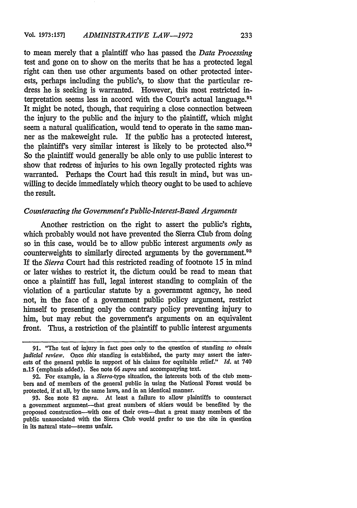to mean merely that a plaintiff who has passed the *Data Processing* test and gone on to show on the merits that he has a protected legal right can then use other arguments based on other protected interests, perhaps including the public's, to show that the particular redress he is seeking is warranted. However, this most restricted interpretation seems less in accord with the Court's actual language.<sup>91</sup> It might be noted, though, that requiring a close connection between the injury to the public and the injury to the plaintiff, which might seem a natural qualification, would tend to operate in the same manner as the makeweight rule. If the public has a protected interest, the plaintiff's very similar interest is likely to be protected also.92 So the plaintiff would generally be able only to use public interest to show that redress of injuries to his own legally protected rights was warranted. Perhaps the Court had this result in mind, but was unwilling to decide immediately which theory ought to be used to achieve the result.

## *Counteracting the Government's Public-Interest-Based Arguments*

Another restriction on the right to assert the public's rights, which probably would not have prevented the Sierra Club from doing so in this case, would be to allow public interest arguments *only* as counterweights to similarly directed arguments by the government.<sup>93</sup> If the *Sierra* Court had this restricted reading of footnote 15 in mind or later wishes to restrict it, the dictum could be read to mean that once a plaintiff has full, legal interest standing to complain of the violation of a particular statute by a government agency, he need not, in the face of a government public policy argument, restrict himself to presenting only the contrary policy preventing injury to him, but may rebut the government's arguments on an equivalent front. Thus, a restriction of the plaintiff to public interest arguments

<sup>91. &</sup>quot;The test of injury in fact goes only to the question of standing *to obtain judicial review. Once this* standing is established, the party may assert the interests of the general public in support of his claims for equitable relief." *Id.* at 740 n.15 (emphasis added). See note **66** *supra* and accompanying text.

<sup>92.</sup> For example, in a *Sierra-type* situation, the interests both of the club members and of members of the general public in using the National Forest would be protected, if at all, by the same laws, and in an identical manner.

<sup>93.</sup> See note 82 *supra.* At least a failure to allow plaintiffs to counteract a government argument-that great numbers of skiers would be benefited by the proposed construction-with one of their own-that a great many members of the public unassociated with the Sierra Club would prefer to use the site in question in its natural state-seems unfair.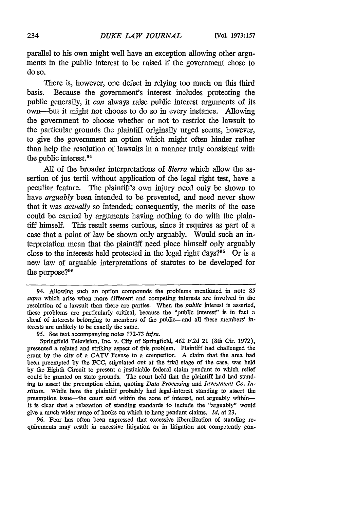parallel to his own might well have an exception allowing other arguments in the public interest to be raised if the government chose to do so.

There is, however, one defect in relying too much on this third basis. Because the government's interest includes protecting the public generally, it *can* always raise public interest arguments of its own-but it might not choose to do so in every instance. Allowing the government to choose whether or not to restrict the lawsuit to the particular grounds the plaintiff originally urged seems, however, to give the government an option which might often hinder rather than help the resolution of lawsuits in a manner truly consistent with the public interest.<sup>94</sup>

All of the broader interpretations of *Sierra* which allow the assertion of jus tertii without application of the legal right test, have a peculiar feature. The plaintiff's own injury need only be shown to have *arguably* been intended to be prevented, and need never show that it was *actually* so intended; consequently, the merits of the case could be carried by arguments having nothing to do with the plaintiff himself. This result seems curious, since it requires as part of a case that a point of law be shown only arguably. Would such an interpretation mean that the plaintiff need place himself only arguably close to the interests held protected in the legal right days?<sup> $95$ </sup> Or is a new law of arguable interpretations of statutes to be developed for the purpose?<sup>96</sup>

Springfield Television, Inc. v. City of Springfield, 462 F.2d 21 (8th Cir. 1972), presented a related and striking aspect of this problem. Plaintiff had challenged the grant by the city of a CATV license to a competitor. A claim that the area had been preempted by the FCC, stipulated out at the trial stage of the case, was held by the Eighth Circuit to present a justiciable federal claim pendant to which relief could be granted on state grounds. The court held that the plaintiff had had standing to assert the preemption claim, quoting *Data Processing and Investment Co. Institute.* While here the plaintiff probably had legal-interest standing to assert the preemption issue—the court said within the zone of interest, not arguably within it is clear that a relaxation of standing standards to include the "arguably" would give a much wider range of hooks on which to hang pendant claims. *Id.* at 23.

96. Fear has often been expressed that excessive liberalization of standing requirements may result in excessive litigation or in litigation not competently con-

<sup>94.</sup> Allowing such an option compounds the problems mentioned in note 85 *supra* which arise when more different and competing interests are involved in the resolution of a lawsuit than there are parties. When the *public* interest is asserted, these problems are particularly critical, because the "public interest" is in fact a sheaf of interests belonging to members of the public-and all these members' interests are unlikely to be exactly the same.

<sup>95.</sup> See text accompanying notes 172-73 *inIra.*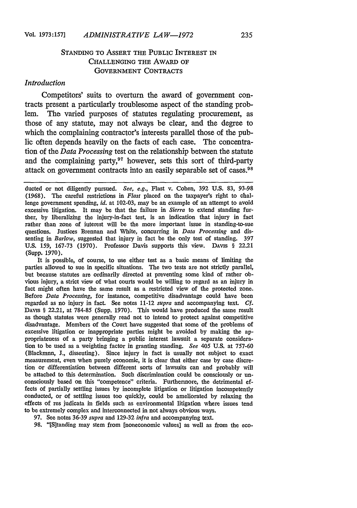# STANDING TO ASSERT THE PUBLIC INTEREST IN **CHALLENGING** THE AWARD OF GOVERNMENT **CONTRACTS**

### *Introduction*

Competitors' suits to overturn the award of government contracts present a particularly troublesome aspect of the standing problem. The varied purposes of statutes regulating procurement, as those of any statute, may not always be clear, and the degree to which the complaining contractor's interests parallel those of the public often depends heavily on the facts of each case. The concentration of the *Data Processing* test on the relationship between the statute and the complaining party, $97$  however, sets this sort of third-party attack on government contracts into an easily separable set of cases. <sup>98</sup>

It is possible, of course, to use either test as a basic means of limiting the parties allowed to sue in specific situations. The two tests are not strictly parallel, but because statutes are ordinarily directed at preventing some kind of rather obvious injury, a strict view of what courts would be willing to regard as an injury in fact might often have the same result as a restricted view of the protected zone. Before *Data Processing,* for instance, competitive disadvantage could have been regarded as no injury in fact. See notes 11-12 *supra* and accompanying text. *Cf.* DAvis § 22.21, at 784-85 (Supp. 1970). This would have produced the same result as though statutes were generally read not to intend to protect against competitive disadvantage. Members of the Court have suggested that some of the problems of excessive litigation or inappropriate parties might be avoided by making the appropriateness of a party bringing a public interest lawsuit a separate consideration to be used as a weighting factor in granting standing. *See* 405 U.S. at 757-60 (Blackmun, **J.,** dissenting). Since injury in fact is usually not subject to exact measurement, even when purely economic, it is clear that either case by case discretion or differentiation between different sorts of lawsuits can and probably will be attached to this determination. Such discrimination could be consciously or unconsciously based on this "competence" criteria. Furthermore, the detrimental effects of partially settling issues by incomplete litigation or litigation incompetently conducted, or of settling issues too quickly, could be ameliorated by relaxing the effects of res judicata in fields such as environmental litigation where issues tend to be extremely complex and interconnected in not always obvious ways.

97. See notes 36-39 *supra* and 129-32 *infra* and accompanying text.

98. "[S]tanding may stem from [noneconomic values] as well as from the eco-

ducted or not diligently pursued. *See, e.g.,* Flast v. Cohen, 392 U.S. 83, 93-98 (1968). The careful restrictions in *Flast* placed on the taxpayer's right to challenge government spending, *id.* at 102-03, may be an example of an attempt to avoid excessive litigation. It may be that the failure in *Sierra* to extend standing further, by liberalizing the injury-in-fact test, is an indication that injury in fact rather than zone of interest will be the more important issue in standing-to-sue questions. Justices Brennan and White, concurring in *Data Processing* and dissenting in *Barlow,* suggested that injury in fact be the only test of standing. 397 U.S. 159, 167-73 (1970). Professor Davis supports this view. DAvis § 22.21 (Supp. 1970).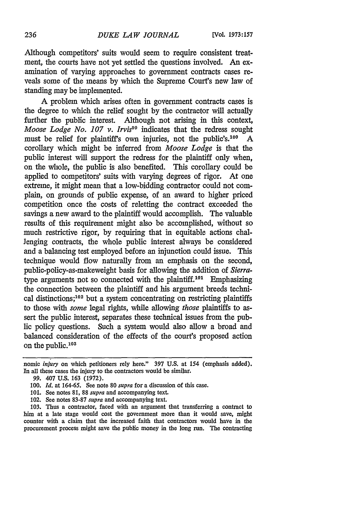Although competitors' suits would seem to require consistent treatment, the courts have not yet settled the questions involved. An examination of varying approaches to government contracts cases reveals some of the means by which the Supreme Court's new law of standing may be implemented.

A problem which arises often in government contracts cases is the degree to which the relief sought by the contractor will actually further the public interest. Although not arising in this context, *Moose Lodge No. 107 v. Irvis<sup>99</sup>* indicates that the redress sought must be relief for plaintiff's own injuries, not the public's.<sup>100</sup> A corollary which might be inferred from *Moose Lodge* is that the public interest will support the redress for the plaintiff only when, on the whole, the public is also benefited. This corollary could be applied to competitors' suits with varying degrees of rigor. At one extreme, it might mean that a low-bidding contractor could not complain, on grounds of public expense, of an award to higher priced competition once the costs of reletting the contract exceeded the savings a new award to the plaintiff would accomplish. The valuable results of this requirement might also be accomplished, without so much restrictive rigor, by requiring that in equitable actions challenging contracts, the whole public interest always be considered and a balancing test employed before an injunction could issue. This technique would flow naturally from an emphasis on the second, public-policy-as-makeweight basis for allowing the addition of *Sierra*type arguments not so connected with the plaintiff.<sup>101</sup> Emphasizing the connection between the plaintiff and his argument breeds technical distinctions;<sup>102</sup> but a system concentrating on restricting plaintiffs to those with *some* legal rights, while allowing *those* plaintiffs to assert the public interest, separates these technical issues from the public policy questions. Such a system would also allow a broad and balanced consideration of the effects of the court's proposed action on the public. $103$ 

- 101. See notes 81, 88 *supra* and accompanying text.
- 102. See notes 83-87 *supra* and accompanying text.

103. Thus a contractor, faced with an argument that transferring a contract to him at a late stage would cost the government more than it would save, might counter with a claim that the increased faith that contractors would have in the procurement process might save the public money in the long run. The contracting

nomic *injury* on which petitioners rely here." **397** U.S. at 154 (emphasis added). In all these cases the injury to the contractors would be similar.

<sup>99. 407</sup> U.S. 163 (1972).

<sup>100.</sup> *Id.* at 164-65. See note 80 *supra* for a discussion of this case.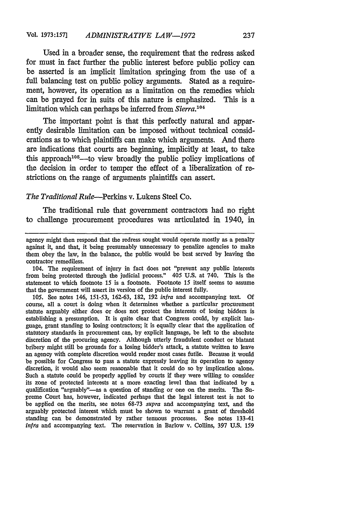Used in a broader sense, the requirement that the redress asked for must in fact further the public interest before public policy can be asserted is an implicit limitation springing from the use of a full balancing test on public policy arguments. Stated as a requirement, however, its operation as a limitation on the remedies which can be prayed for in suits of this nature is emphasized. This is a limitation which can perhaps be inferred from *Sierra*.<sup>104</sup>

The important point is that this perfectly natural and apparently desirable limitation can be imposed without technical considerations as to which plaintiffs can make which arguments. And there are indications that courts are beginning, implicitly at least, to take this approach<sup>105</sup>—to view broadly the public policy implications of the decision in order to temper the effect of a liberalization of restrictions on the range of arguments plaintiffs can assert.

## *The Traditional Rule-Perkins* v. Lukens Steel Co.

The traditional rule that government contractors had no right to challenge procurement procedures was articulated in 1940, in

agency might then respond that the redress sought would operate mostly as a penalty against it, and that, it being presumably unnecessary to penalize agencies to make them obey the law, in the balance, the public would be best served by leaving the contractor remediless.

<sup>104.</sup> The requirement of injury in fact does not "prevent any public interests from being protected through the judicial process." 405 U.S. at 740. This is the statement to which footnote 15 is a footnote. Footnote 15 itself seems to assume that the government will assert its version of the public interest fully.

<sup>105.</sup> See notes 146, 151-53, 162-63, 182, 192 *inIra* and accompanying text. Of course, all a court is doing when it determines whether a particular procurement statute arguably either does or does not protect the interests of losing bidders is establishing a presumption. It is quite clear that Congress could, by explicit language, grant standing to losing contractors; it is equally clear that the application of statutory standards in procurement can, by explicit language, be left to the absolute discretion of the procuring agency. Although utterly fraudulent conduct or blatant bribery might still be grounds for a losing bidder's attack, a statute written to leave an agency with complete discretion would render most cases futile. Because it would be possible for Congress to pass a statute expressly leaving its operation to agency discretion, it would also seem reasonable that it could do so by implication alone. Such a statute could be properly applied by courts if they were willing to consider its zone of protected interests at a more exacting level than that indicated by a qualification "arguably"-as a question of standing or one on the merits. The Supreme Court has, however, indicated perhaps that the legal interest test is not to be applied on the merits, see notes 68-73 *supra* and accompanying text, and the arguably protected interest which must be shown to warrant a grant of threshold standing can be demonstrated by rather tenuous processes. See notes 133-41 *infra* and accompanying text. The reservation in Barlow v. Collins, 397 U.S. 159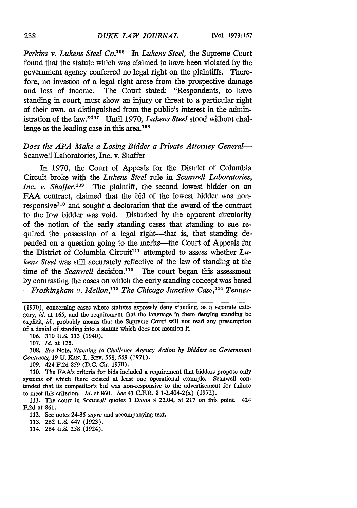*Perkins v. Lukens Steel Co.08 In Lukens Steel,* the Supreme Court found that the statute which was claimed to have been violated by the government agency conferred no legal right on the plaintiffs. Therefore, no invasion of a legal right arose from the prospective damage and loss of income. The Court stated: "Respondents, to have standing in court, must show an injury or threat to a particular right of their own, as distinguished from the public's interest in the administration of the law."<sup>107</sup> Until 1970, *Lukens Steel* stood without challenge as the leading case in this area. $108$ 

# *Does the APA Make a Losing Bidder a Private Attorney General-*Scanwell Laboratories, Inc. v. Shaffer

In 1970, the Court of Appeals for the District of Columbia Circuit broke with the *Lukens Steel* rule in *Scanwell Laboratories, Inc. v. Shaffer.*<sup>109</sup> The plaintiff, the second lowest bidder on an FAA contract, claimed that the bid of the lowest bidder was nonresponsive<sup>110</sup> and sought a declaration that the award of the contract to the low bidder was void. Disturbed by the apparent circularity of the notion of the early standing cases that standing to sue required the possession of a legal right-that is, that standing depended on a question going to the merits-the Court of Appeals for the District of Columbia Circuit<sup>111</sup> attempted to assess whether *Lukens Steel* was still accurately reflective of the law of standing at the time of the *Scanwell* decision.<sup>112</sup> The court began this assessment by contrasting the cases on which the early standing concept was based *-Frothingham v. Mellon,"' The Chicago Junction Case,"14 Tennes-*

106. 310 U.S. 113 (1940).

108. *See* Note, *Standing to Challenge Agency Action by Bidders on Government Contracts, 19 U. KAN. L. REV. 558, 559 (1971).* 

109. 424 F.2d 859 (D.C. Cir. 1970).

110. The FAA's criteria for bids included a requirement that bidders propose only systems of which there existed at least one operational example. Scanwell contended that its competitor's bid was non-responsive to the advertisement for failure to meet this criterion. *Id.* at 860. *See* 41 C.F.R. § 1-2.404-2(a) (1972).

111. The court in *Scanwell* quotes 3 DAvis § 22.04, at 217 on this point. 424 F.2d at 861.

112. See notes 24-35 *supra* and accompanying text.

113. **262** U.S. 447 (1923).

114. 264 U.S. 258 (1924).

238

<sup>(1970),</sup> concerning cases where statutes expressly deny standing, as a separate category, *id. at* 165, and the requirement that the language in them denying standing be explicit, *id.,* probably means that the Supreme Court will not read any presumption of a denial of standing into a statute which does not mention it.

<sup>107.</sup> *Id.* at 125.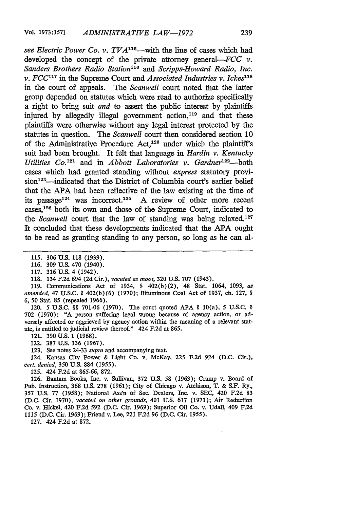*see Electric Power Co. v. TVA"- <sup>5</sup> -with* the line of cases which had developed the concept of the private attorney general-FCC *v*. *Sanders Brothers Radio Station"1 6 and Scripps-Howard Radio, Inc. v.*  $FCC$ <sup>117</sup> in the Supreme Court and *Associated Industries v. Ickes*<sup>118</sup> in the court of appeals. The *Scanwell* court noted that the latter group depended on statutes which were read to authorize specifically a right to bring suit *and* to assert the public interest by plaintiffs injured by allegedly illegal government action,<sup>119</sup> and that these plaintiffs were otherwise without any legal interest protected by the statutes in question. The *Scanwell* court then considered section 10 of the Administrative Procedure Act,<sup>120</sup> under which the plaintiff's suit had been brought. It felt that language in *Hardin v. Kentucky Utilities Co.*<sup>121</sup> and in *Abbott Laboratories v. Gardner*<sup>122</sup>-both cases which had granted standing without *express* statutory provision<sup>123</sup>—indicated that the District of Columbia court's earlier belief that the **APA** had been reflective of the law existing at the time of its passage<sup>124</sup> was incorrect.<sup>125</sup> A review of other more recent cases, $126$  both its own and those of the Supreme Court, indicated to the *Scanwell* court that the law of standing was being relaxed.<sup>127</sup> It concluded that these developments indicated that the **APA** ought to be read as granting standing to any person, so long as he can al-

118. 134 F.2d 694 (2d Cir.), *vacated as moot,* 320 U.S. 707 (1943).

119. Communications Act of 1934, § 402(b)(2), 48 Stat. 1064, 1093, *as amended,* 47 U.S.C. **§** 402(b)(6) (1970); Bituminous Coal Act of 1937, ch. 127, **§** *6,* 50 Stat. 85 (repealed 1966).

120. 5 U.S.C. **§§** 701-06 (1970). The court quoted APA **§** 10(a), 5 U.S.C. **§** 702 (1970): "A person suffering legal wrong because of agency action, or adversely affected or aggrieved by agency action within the meaning of a relevant statute, is entitled to judicial review thereof." 424 F.2d at 865.

121. 390 U.S. 1 (1968).

122. 387 U.S. 136 (1967).

123. See notes 24-33 *supra* and accompanying text.

124. Kansas City Power & Light Co. v. McKay, **225** F.2d 924 (D.C. Cir.), *cert. denied,* 350 U.S. 884 *(1955).*

125. 424 F.2d at 865-66, 872.

126. Bantam Books, Inc. v. Sullivan, 372 **U.S.** 58 (1963); Cramp v. Board of Pub. Instruction, 368 U.S. 278 (1961); City of Chicago v. Atchison, T. & **S.F.** Ry., 357 U.S. 77 (1958); National Ass'n of See. Dealers, Inc. v. SEC, 420 F.2d 83 (D.C. Cir. 1970), *vacated on other grounds,* 401 U.S. 617 (1971); Air Reduction Co. v. Hickel, 420 F.2d 592 (D.C. Cir. 1969); Superior Oil Co. v. Udall, 409 F.2d 1115 (D.C. Cir. 1969); Friend v. Lee, 221 F.2d 96 (D.C. Cir. 1955).

127. 424 F.2d at 872.

*<sup>115.</sup>* **306** U.S. 118 (1939).

<sup>116. 309</sup> U.S. 470 (1940).

<sup>117. 316</sup> U.S. 4 (1942).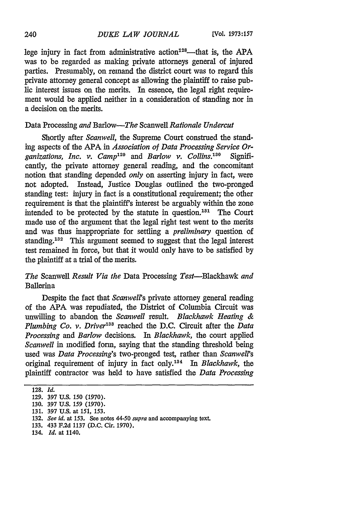lege injury in fact from administrative action<sup> $128$ </sup>—that is, the APA was to be regarded as making private attorneys general of injured parties. Presumably, on remand the district court was to regard this private attorney general concept as allowing the plaintiff to raise public interest issues on the merits. In essence, the legal right requirement would be applied neither in a consideration of standing nor in a decision on the merits.

# Data Processing *and* Barlow-The Scanwell *Rationale Undercut*

Shortly after *Scanwell,* the Supreme Court construed the standing aspects of the **APA** in *Association of Data Processing Service Organizations, Inc. v. Camp'29 and Barlow v. Collins.30 °* Significantly, the private attorney general reading, and the concomitant notion that standing depended *only* on asserting injury in fact, were not adopted. Instead, Justice Douglas outlined the two-pronged standing test: injury in fact is a constitutional requirement; the other requirement is that the plaintiffs interest be arguably within the zone intended to be protected by the statute in question.<sup>181</sup> The Court made use of the argument that the legal right test went to the merits and was thus inappropriate for settling a *preliminary* question of standing.<sup>132</sup> This argument seemed to suggest that the legal interest test remained in force, but that it would only have to be satisfied by the plaintiff at a trial of the merits.

# *The* Scanwell *Result Via the* Data Processing Test-Blackhawk *and* Ballerina

Despite the fact that *Scanwells* private attorney general reading of the APA was repudiated, the District of Columbia Circuit was unwilling to abandon the *Scanwell* result. *Blackhawk Heating & Plumbing Co. v. Driver'38* reached the D.C. Circuit after the *Data Processing and Barlow* decisions. In *Blackhawk,* the court applied *Scanwell* in modified form, saying that the standing threshold being used was *Data Processing's* two-pronged test, rather than *Scanwell's* original requirement of injury in fact only.<sup>134</sup> In Blackhawk, the plaintiff contractor was held to have satisfied the *Data Processing*

**<sup>128.</sup>** *Id.*

**<sup>129. 397</sup> U.S. 150 (1970).**

**<sup>130. 397</sup> U.S. 159 (1970).**

**<sup>131. 397</sup> U.S.** at 151, 153.

**<sup>132.</sup>** See *id.* at 153. See notes *44-50 supra* and accompanying text.

**<sup>133.</sup>** 433 **F.2d 1137 (D.C.** Cir. **1970).**

<sup>134.</sup> *Id.* at 1140.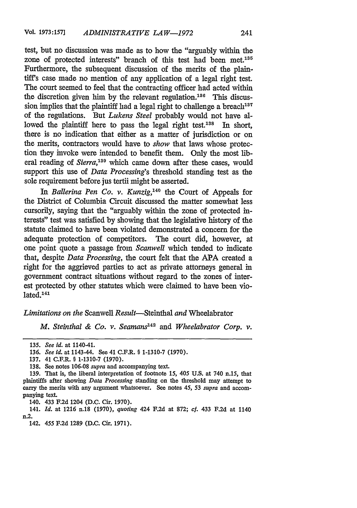test, but no discussion was made as to how the "arguably within the zone of protected interests" branch of this test had been met.<sup>135</sup> Furthermore, the subsequent discussion of the merits of the plaintiff's case made no mention of any application of a legal right test. The court seemed to feel that the contracting officer had acted within the discretion given him by the relevant regulation.<sup>136</sup> This discussion implies that the plaintiff had a legal right to challenge a breach<sup>137</sup> of the regulations. But *Lukens Steel* probably would not have allowed the plaintiff here to pass the legal right test.<sup>188</sup> In short, there is no indication that either as a matter of jurisdiction or on the merits, contractors would have to *show* that laws whose protection they invoke were intended to benefit them. Only the most liberal reading of *Sierra*,<sup>139</sup> which came down after these cases, would support this use of *Data Processing's* threshold standing test as the sole requirement before jus tertii might be asserted.

*In Ballerina Pen Co. v. Kunzig,140* the Court of Appeals for the District of Columbia Circuit discussed the matter somewhat less cursorily, saying that the "arguably within the zone of protected interests" test was satisfied by showing that the legislative history of the statute claimed to have been violated demonstrated a concern for the adequate protection of competitors. The court did, however, at one point quote a passage from *Scanwell* which tended to indicate that, despite *Data Processing,* the court felt that the APA created a right for the aggrieved parties to act as private attorneys general in government contract situations without regard to the zones of interest protected by other statutes which were claimed to have been vio- $\rm 14$ 

### *Limitations on the* Scanwell Result-Steinthal *and* Wheelabrator

*M. Steinthal & Co. v. Seamans142 and Wheelabrator Corp. v.*

<sup>135.</sup> *See id.* at 1140-41.

<sup>136.</sup> *See id.* at 1143-44. See 41 C.F.R. § 1-1310-7 (1970).

<sup>137. 41</sup> C.F.R. § 1-1310-7 (1970).

<sup>138.</sup> See notes 106-08 *supra* and accompanying text.

<sup>139.</sup> That is, the liberal interpretation of footnote *15, 405* U.S. at 740 n.15, that plaintiffs after showing *Data Processing* standing on the threshold may attempt to carry the merits with any argument whatsoever. See notes *45,* 53 *supra* and accompanying text.

<sup>140. 433</sup> F.2d 1204 (D.C. Cir. **1970).**

<sup>141.</sup> *Id.* at 1216 n.18 (1970), *quoting* 424 F.2d at 872; *cf.* 433 F.2d at 1140 n.2.

<sup>142.</sup> *455* F.2d 1289 (D.C. Cir. 1971).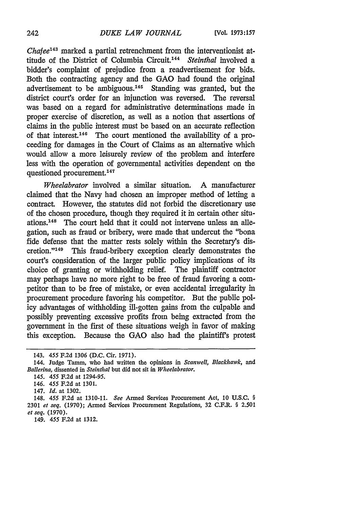*Chafee43* marked a partial retrenchment from the interventionist attitude of the District of Columbia Circuit.'44 *Steinthal* involved a bidder's complaint of prejudice from a readvertisement for bids. Both the contracting agency and the GAO had found the original advertisement to be ambiguous.<sup>145</sup> Standing was granted, but the district court's order for an injunction was reversed. The reversal was based on a regard for administrative determinations made in proper exercise of discretion, as well as a notion that assertions of claims in the public interest must be based on an accurate reflection of that interest.<sup>146</sup> The court mentioned the availability of a proceeding for damages in the Court of Claims as an alternative which would allow a more leisurely review of the problem and interfere less with the operation of governmental activities dependent on the questioned procurement.<sup>147</sup>

*Wheelabrator* involved a similar situation. A manufacturer claimed that the Navy had chosen an improper method of letting a contract. However, the statutes did not forbid the discretionary use of the chosen procedure, though they required it in certain other situations.<sup>148</sup> The court held that it could not intervene unless an allegation, such as fraud or bribery, were made that undercut the "bona fide defense that the matter rests solely within the Secretary's discretion."<sup>149</sup> This fraud-bribery exception clearly demonstrates the court's consideration of the larger public policy implications of its choice of granting or withholding relief. The plaintiff contractor may perhaps have no more right to be free of fraud favoring a competitor than to be free of mistake, or even accidental irregularity in procurement procedure favoring his competitor. But the public policy advantages of withholding ill-gotten gains from the culpable and possibly preventing excessive profits from being extracted from the government in the first of these situations weigh in favor of making this exception. Because the GAO also had the plaintiff's protest

<sup>143. 455</sup> F.2d 1306 (D.C. Cir. 1971).

<sup>144.</sup> Judge Tamm, who had written the opinions in *Scanwell, Blackhawk, and Ballerina,* dissented in *Steinthal* but did not sit in *Wheelabrator.*

*<sup>145. 455</sup>* F.2d at 1294-95.

<sup>146.</sup> *455* F.2d at 1301.

<sup>147.</sup> *Id.* at 1302.

<sup>148. 455</sup> F.2d at 1310-11. *See* Armed Services Procurement Act, 10 U.S.C. § 2301 *et seq.* (1970); Armed Services Procurement Regulations, 32 C.F.R. § 2.501 *et seq.* (1970).

<sup>149. 455</sup> F.2d at 1312.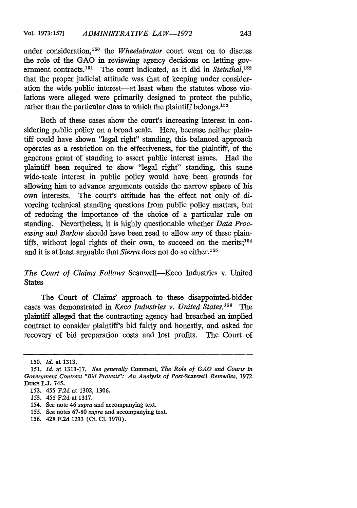under consideration,'50 the *Wheelabrator* court went on to discuss the role of the GAO in reviewing agency decisions on letting government contracts.<sup>151</sup> The court indicated, as it did in *Steinthal*,<sup>152</sup> that the proper judicial attitude was that of keeping under consideration the wide public interest-at least when the statutes whose violations were alleged were primarily designed to protect the public, rather than the particular class to which the plaintiff belongs.<sup>153</sup>

Both of these cases show the court's increasing interest in considering public policy on a broad scale. Here, because neither plaintiff could have shown "legal right" standing, this balanced approach operates as a restriction on the effectiveness, for the plaintiff, of the generous grant of standing to assert public interest issues. Had the plaintiff been required to show "legal right" standing, this same wide-scale interest in public policy would have been grounds for allowing him to advance arguments outside the narrow sphere of his own interests. The court's attitude has the effect not only of divorcing technical standing questions from public policy matters, but of reducing the importance of the choice of a particular rule on standing. Nevertheless, it is highly questionable whether *Data Processing and Barlow* should have been read to allow *any* of these plaintiffs, without legal rights of their own, to succeed on the merits; $154$ and it is at least arguable that *Sierra* does not do so either.'<sup>55</sup>

# *The Court of Claims Follows* Scanwell-Keco Industries v. United States

The Court of Claims' approach to these disappointed-bidder cases was demonstrated in *Keco Industries v. United States.'56 The* plaintiff alleged that the contracting agency had breached an implied contract to consider plaintiff's bid fairly and honestly, and asked for recovery of bid preparation costs and lost profits. The Court of

<sup>150.</sup> *Id.* at 1313.

*<sup>151.</sup> Id.* at 1313-17. *See generally* Comment, *The Role of GAO and Courts in Government Contract "Bid Protests": An Analysis of Post-Scanwell Remedies,* 1972 DUKE L.J. 745.

<sup>152. 455</sup> F.2d at 1302, 1306.

<sup>153. 455</sup> F.2d at 1317.

<sup>154.</sup> See note 46 *supra* and accompanying text.

<sup>155.</sup> See notes 67-80 *supra* and accompanying text.

<sup>156. 428</sup> F.2d 1233 (Ct. **C1.** 1970).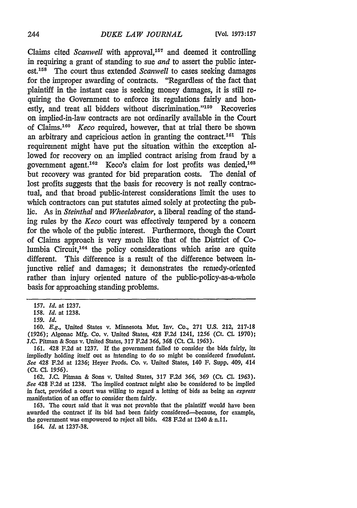Claims cited *Scanwell* with approval,<sup>157</sup> and deemed it controlling in requiring a grant of standing to sue *and* to assert the public interest.158 The court thus extended *Scanwell* to cases seeking damages for the improper awarding of contracts. "Regardless of the fact that plaintiff in the instant case is seeking money damages, it is still requiring the Government to enforce its regulations fairly and honestly, and treat all bidders without discrimination."<sup>159</sup> Recoveries on implied-in-law contracts are not ordinarily available in the Court of Claims. <sup>160</sup>*Keco* required, however, that at trial there be shown an arbitrary and capricious action in granting the contract.<sup>161</sup> This requirement might have put the situation within the exception allowed for recovery on an implied contract arising from fraud by a government agent.<sup>162</sup> Keco's claim for lost profits was denied,<sup>168</sup> but recovery was granted for bid preparation costs. The denial of lost profits suggests that the basis for recovery is not really contractual, and that broad public-interest considerations limit the uses to which contractors can put statutes aimed solely at protecting the public. As in *Steinthal and Wheelabrator,* a liberal reading of the standing rules by the *Keco* court was effectively tempered by a concern for the whole of the public interest. Furthermore, though the Court of Claims approach is very much like that of the District of **Co**lumbia Circuit,<sup>164</sup> the policy considerations which arise are quite different. This difference is a result of the difference between injunctive relief and damages; it demonstrates the remedy-oriented rather than injury oriented nature of the public-policy-as-a-whole basis for approaching standing problems.

163. The court said that it was not provable that the plaintiff would have been awarded the contract if its bid had been fairly considered-because, for example, the government was empowered to reject all bids. 428 F.2d at 1240 & n.ll.

164. *Id.* at 1237-38.

**<sup>157.</sup>** *Id.* at 1237.

*<sup>158.</sup> Id.* at **1238.**

<sup>159.</sup> *Id.*

**<sup>160.</sup>** *E.g.,* United States v. Minnesota Mut. Inv. Co., **271 U.S. 212, 217-18** (1926); Algonac Mfg. Co. v. United States, 428 F.2d 1241, 1256 (Ct. **CL** 1970); J.C. Pitman & Sons v. United States, 317 F.2d **366,** 368 (Ct. **Cl.** 1963).

<sup>161. 428</sup> F.2d at 1237. **If** the government failed to consider the bids fairly, its impliedly holding itself out as intending to do so might be considered fraudulent. *See* 428 F.2d at 1236; Heyer Prods. Co. v. United States, 140 F. Supp. 409, 414 **(CL Cl. 1956).**

**<sup>162.</sup> JC.** Pitman & Sons v. United States, **317 F.2d** *366,* **369** (Ct. **Cl. 1963).** *See* 428 F.2d at 1238. The implied contract might also be considered to be implied in fact, provided a court was willing to regard a letting of bids as being an *express* manifestation of an offer to consider them fairly.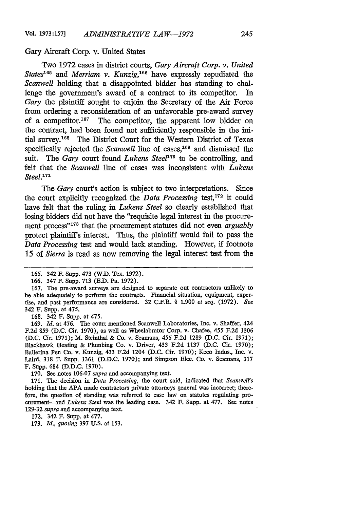#### Gary Aircraft Corp. v. United States

Two 1972 cases in district courts, *Gary Aircraft Corp. v. United States<sup>6</sup> 5 and Merriam v. Kunzig, <sup>66</sup>*have expressly repudiated the *Scanwell* holding that a disappointed bidder has standing to challenge the government's award of a contract to its competitor. In *Gary* the plaintiff sought to enjoin the Secretary of the Air Force from ordering a reconsideration of an unfavorable pre-award survey of a competitor. 167 The competitor, the apparent low bidder on the contract, had been found not sufficiently responsible in the initial survey.<sup>168</sup> The District Court for the Western District of Texas specifically rejected the *Scanwell* line of cases,<sup>169</sup> and dismissed the suit. The *Gary* court found *Lukens Steel*<sup>176</sup> to be controlling, and felt that the *Scanwell* line of cases was inconsistent with *Lukens Steel.'7'*

*The Gary* court's action is subject to two interpretations. Since the court explicitly recognized the *Data Processing* test,172 it could have felt that the ruling in *Lukens Steel* so clearly established that losing bidders did not have the "requisite legal interest in the procurement process"<sup>173</sup> that the procurement statutes did not even *arguably* protect plaintiff's interest. Thus, the plaintiff would fail to pass the *Data Processing* test and would lack standing. However, if footnote 15 of *Sierra* is read as now removing the legal interest test from the

168. 342 F. Supp. at 475.

169. *Id.* at 476. The court mentioned Scanwell Laboratories, Inc. v. Shaffer, 424 F.2d 859 (D.C. Cir. 1970), as well as Wheelabrator Corp. v. Chafee, 455 F.2d 1306 (D.C. Cir. 1971); M. Steinthal & Co. v. Seamans, 455 F.2d 1289 (D.C. Cir. 1971); Blackhawk Heating & Plumbing Co. v. Driver, 433 F.2d 1137 (D.C. Cir. 1970); Ballerina Pen Co. v. Kunzig, 433 F.2d 1204 (D.C. Cir. 1970); Keco Indus., Inc. v. Laird, 318 F. Supp. 1361 (D.D.C. 1970); and Simpson Elec. Co. v. Seamans, 317 F. Supp. 684 (D.D.C. 1970).

170. See notes 106-07 *supra* and accompanying text.

171. The decision in *Data Processing,* the court said, indicated that *Scanwell's* holding that the APA made contractors private attorneys general was incorrect; therefore, the question of standing was referred to case law on statutes regulating procurement-and *Lukens Steel* was the leading case. 342 **F.** Supp. at 477. See notes 129-32 *supra* and accompanying text.

172. 342 F. Supp. at 477.

173. *Id., quoting* 397 U.S. at 153.

<sup>165. 342</sup> F. Supp. 473 (W.D. Tex. 1972).

<sup>166. 347</sup> F. Supp. 713 (E.D. Pa. 1972).

<sup>167.</sup> The pre-award surveys are designed to separate out contractors unlikely to be able adequately to perform the contracts. Financial situation, equipment, expertise, and past performance are considered. 32 C.F.R. § 1.900 *et seq.* (1972). *See* 342 F. Supp. at 475.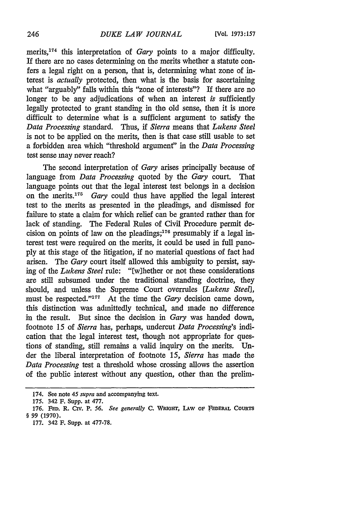merits, 174 this interpretation of *Gary* points to a major difficulty. If there are no cases determining on the merits whether a statute confers a legal right on a person, that is, determining what zone of interest is *actually* protected, then what is the basis for ascertaining what "arguably" falls within this "zone of interests"? If there are no longer to be any adjudications of when an interest *is* sufficiently legally protected to grant standing in the old sense, then it is more difficult to determine what is a sufficient argument to satisfy the *Data Processing* standard. Thus, if *Sierra* means that *Lukens Steel* is not to be applied on the merits, then is that case still usable to set a forbidden area which "threshold argument" in the *Data Processing* test sense may never reach?

The second interpretation of *Gary* arises principally because of language from *Data Processing* quoted by the *Gary* court. That language points out that the legal interest test belongs in a decision on the merits.<sup>175</sup> Gary could thus have applied the legal interest test to the merits as presented in the pleadings, and dismissed for failure to state a claim for which relief can be granted rather than for lack of standing. The Federal Rules of Civil Procedure permit decision on points of law on the pleadings; 176 presumably if a legal interest test were required on the merits, it could be used in full panoply at this stage of the litigation, if no material questions of fact had arisen. The *Gary* court itself allowed this ambiguity to persist, saying of the *Lukens Steel* rule: "[w]hether or not these considerations are still subsumed under the traditional standing doctrine, they should, and unless the Supreme Court overrules *[Lukens Steel],* must be respected."<sup>177</sup> At the time the *Gary* decision came down, this distinction was admittedly technical, and made no difference in the result. But since the decision in *Gary* was handed down, footnote 15 of *Sierra* has, perhaps, undercut *Data Processing's* indication that the legal interest test, though not appropriate for questions of standing, still remains a valid inquiry on the merits. Under the liberal interpretation of footnote *15, Sierra* has made the *Data Processing* test a threshold whose crossing allows the assertion of the public interest without any question, other than the prelim-

<sup>174.</sup> See note *45 supra* and accompanying text.

**<sup>175.</sup>** 342 **F.** Supp. at **477.**

**<sup>176.</sup> FFD. R. Civ.** P. *56. See generally* **C. WiGirr, LAw OF FEDERAL COURTS** *§* **99 (1970).**

**<sup>177.</sup>** 342 F. Supp. at **477-78.**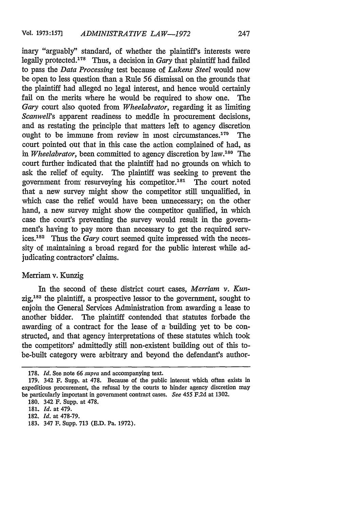inary "arguably" standard, of whether the plaintiff's interests were legally protected.178 Thus, a decision in *Gary* that plaintiff had failed to pass the *Data Processing* test because of *Lukens Steel* would now be open to less question than a Rule *56* dismissal on the grounds that the plaintiff had alleged no legal interest, and hence would certainly fail on the merits where he would be required to show one. The *Gary* court also quoted from *Wheelabrator,* regarding it as limiting *Scanwell's* apparent readiness to meddle in procurement decisions, and as restating the principle that matters left to agency discretion ought to be immune from review in most circumstances.<sup>179</sup> The court pointed out that in this case the action complained of had, as *in Wheelabrator,* been committed to agency discretion by law.180 The court further indicated that the plaintiff had no grounds on which to ask the relief of equity. The plaintiff was seeking to prevent the government from resurveying his competitor.<sup>181</sup> The court noted that a new survey might show the competitor still unqualified, in which case the relief would have been unnecessary; on the other hand, a new survey might show the competitor qualified, in which case the court's preventing the survey would result in the government's having to pay more than necessary to get the required services.<sup>182</sup> Thus the *Gary* court seemed quite impressed with the necessity of maintaining a broad regard for the public interest while adjudicating contractors' claims.

## Merriam v. Kunzig

In the second of these district court cases, *Merriam v. Kun-* $\text{zig}^{183}$  the plaintiff, a prospective lessor to the government, sought to enjoin the General Services Administration from awarding a lease to another bidder. The plaintiff contended that statutes forbade the awarding of a contract for the lease of a building yet to be constructed, and that agency interpretations of these statutes which took the competitors' admittedly still non-existent building out of this tobe-built category were arbitrary and beyond the defendant's author-

<sup>178.</sup> *Id.* See note 66 *supra* and accompanying text.

<sup>179. 342</sup> F. Supp. at 478. Because of the public interest which often exists in expeditious procurement, the refusal by the courts to hinder agency discretion may be particularly important in government contract cases. *See 455* F.2d at 1302.

**<sup>180.</sup>** 342 F. Supp. at **478.**

**<sup>181-</sup>** *Id.* at 479.

<sup>182.</sup> *Id.* at 478-79.

<sup>183. 347</sup> **F.** Supp. 713 (E.D. Pa. 1972).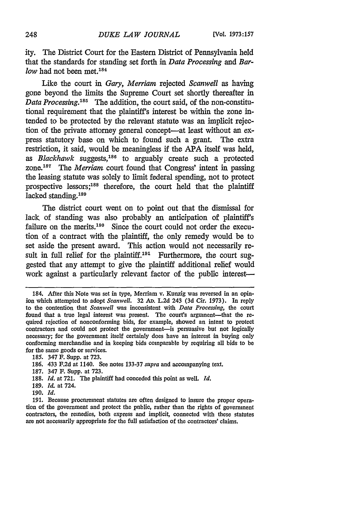ity. The District Court for the Eastern District of Pennsylvania held that the standards for standing set forth in *Data Processing and Barlow* had not been met.<sup>184</sup>

Like the court in *Gary, Merriam* rejected *Scanwell* as having gone beyond the limits the Supreme Court set shortly thereafter in *Data Processing.*<sup>185</sup> The addition, the court said, of the non-constitutional requirement that the plaintiff's interest be within the zone intended to be protected by the relevant statute was an implicit rejection of the private attorney general concept-at least without an express statutory base on which to found such a grant. The extra restriction, it said, would be meaningless if the **APA** itself was held, as *Blackhawk* suggests,<sup>186</sup> to arguably create such a protected zone.<sup>187</sup> The *Merriam* court found that Congress' intent in passing the leasing statute was solely to limit federal spending, not to protect prospective lessors;<sup>188</sup> therefore, the court held that the plaintiff lacked standing.<sup>189</sup>

The district court went on to point out that the dismissal for lack of standing was also probably an anticipation of plaintiff's failure on the merits.<sup>190</sup> Since the court could not order the execution of a contract with the plaintiff, the only remedy would be to set aside the present award. This action would not necessarily result in full relief for the plaintiff.<sup>191</sup> Furthermore, the court suggested that any attempt to give the plaintiff additional relief would work against a particularly relevant factor of the public interest-

- 187. 347 F. Supp. at 723.
- 188. *Id.* at 721. The plaintiff had conceded this point as well. *Id.*
- 189. *Id.* at 724.
- 190. *Id.*

<sup>184.</sup> After this Note was set in type, Merriam v. Kunzig was reversed in an opinion which attempted to adopt *Scanwell*. <sup>32</sup> AD. L.2d 243 (3d Cir. 1973). In reply to the contention that *Scanwell* was inconsistent with *Data Processing,* the court found that a true legal interest was present. The court's argument-that the required rejection of nonconforming bids, for example, showed an intent to protect contractors and could not protect the government-is persuasive but not logically necessary; for the government itself certainly does have an interest in buying only conforming merchandise and in keeping bids comparable by requiring all bids to be for the same goods or services.

<sup>185. 347</sup> F. Supp. at 723.

<sup>186. 433</sup> F.2d at 1140. See notes 133-37 *supra* and accompanying text.

<sup>191.</sup> Because procurement statutes are often designed to insure the proper operation of the government and protect the public, rather than the rights of government contractors, the remedies, both express and implicit, connected with these statutes are not necessarily appropriate for the full satisfaction of the contractors' claims.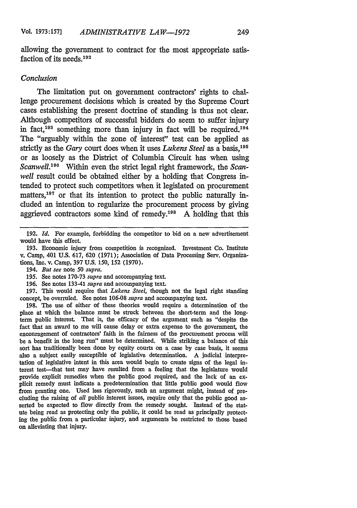allowing the government to contract for the most appropriate satisfaction of its needs.<sup>192</sup>

## *Conclusion*

The limitation put on government contractors' rights to challenge procurement decisions which is created by the Supreme Court cases establishing the present doctrine of standing is thus not clear. Although competitors of successful bidders do seem to suffer injury in fact.<sup>193</sup> something more than injury in fact will be required.<sup>194</sup> The "arguably within the zone of interest" test can be applied as strictly as the *Gary* court does when it uses *Lukens Steel* as a basis.<sup>195</sup> or as loosely as the District of Columbia Circuit has when using *Scanwell*.<sup>196</sup> Within even the strict legal right framework, the *Scanwell* result could be obtained either by a holding that Congress intended to protect such competitors when it legislated on procurement matters,<sup>197</sup> or that its intention to protect the public naturally included an intention to regularize the procurement process by giving aggrieved contractors some kind of remedy.<sup>198</sup> A holding that this

194. *But see* note 50 *supra.*

196. See notes 133-41 *supra* and accompanying text.

197. This would require that *Lukens Steel,* though not the legal right standing concept, be overruled. See notes 106-08 *supra* and accompanying text.

198. The use of either of these theories would require a determination of the place at which the balance must be struck between the short-term and the longterm public interest. That is, the efficacy of the argument such as "despite the fact that an award to me will cause delay or extra expense to the government, the encouragement of contractors' faith in the fairness of the procurement process will be a benefit in the long run" must be determined. While striking a balance of this sort has traditionally been done by equity courts on a case by case basis, it seems also a subject easily susceptible of legislative determination. A judicial interpretation of legislative intent in this area would begin to create signs of the legal interest test-that test may have resulted from a feeling that the legislature would provide explicit remedies when the public good required, and the lack of an explicit remedy must indicate a predetermination that little public good would flow from granting one. Used less rigorously, such an argument might, instead of precluding the raising of *all* public interest issues, require only that the public good asserted be expected to flow directly from the remedy sought. Instead of the statute being read as protecting only the public, it could be read as principally protecting the public from a particular injury, and arguments be restricted to those based on alleviating that injury.

<sup>192.</sup> *Id.* For example, forbidding the competitor to bid on a new advertisement would have this effect.

<sup>193.</sup> Economic injury from competition is recognized. Investment Co. Institute v. Camp, 401 U.S. 617, 620 (1971); Association of Data Processing Serv. Organizations, Inc. v. Camp, 397 U.S. 150, 152 (1970).

<sup>195.</sup> See notes 170-73 *supra* and accompanying text.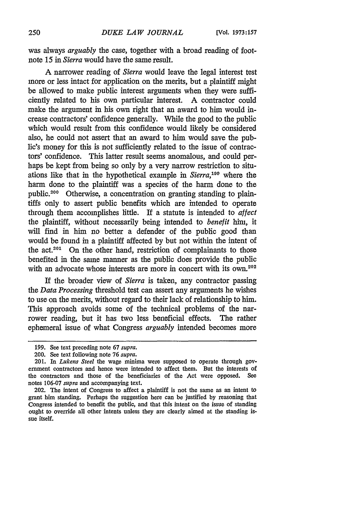was always *arguably* the case, together with a broad reading of footnote 15 in *Sierra* would have the same result.

A narrower reading of *Sierra* would leave the legal interest test more or less intact for application on the merits, but a plaintiff might be allowed to make public interest arguments when they were sufficiently related to his own particular interest. A contractor could make the argument in his own right that an award to him would increase contractors' confidence generally. While the good to the public which would result from this confidence would likely be considered also, he could not assert that an award to him would save the public's money for this is not sufficiently related to the issue of contractors' confidence. This latter result seems anomalous, and could perhaps be kept from being so only by a very narrow restriction to situations like that in the hypothetical example in *Sierra,19* where the harm done to the plaintiff was a species of the harm done to the public.<sup>200</sup> Otherwise, a concentration on granting standing to plaintiffs only to assert public benefits which are intended to operate through them accomplishes little. **If** a statute is intended to *affect* the plaintiff, without necessarily being intended to *benefit* him, it will find in him no better a defender of the public good than would be found in a plaintiff affected by but not within the intent of the act.<sup>201</sup> On the other hand, restriction of complainants to those benefited in the same manner as the public does provide the public with an advocate whose interests are more in concert with its own.<sup>202</sup>

If the broader view of *Sierra* is taken, any contractor passing the *Data Processing* threshold test can assert any arguments he wishes to use on the merits, without regard to their lack of relationship to him. This approach avoids some of the technical problems of the narrower reading, but it has two less beneficial effects. The rather ephemeral issue of what Congress *arguably* intended becomes more

<sup>199.</sup> See text preceding note 67 *supra.*

<sup>200.</sup> See text following note *76 supra.*

<sup>201.</sup> In *Lukens Steel* the wage minima were supposed to operate through government contractors and hence were intended to affect them. But the interests of the contractors and those of the beneficiaries of the Act were opposed. **See** notes 106-07 *supra* and accompanying text.

<sup>202.</sup> The intent of Congress to affect a plaintiff is not the same as an intent to grant him standing. Perhaps the suggestion here can be justified by reasoning that Congress intended to benefit the public, and that this intent on the issue of standing ought to override all other intents unless they are clearly aimed at the standing issue itself.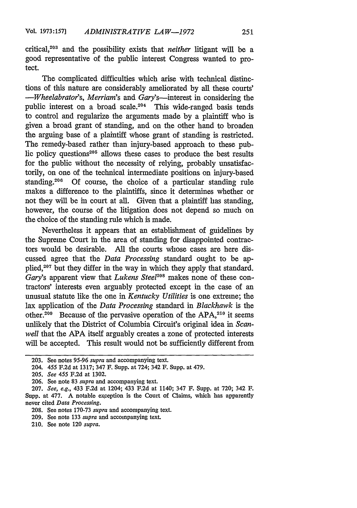critical,<sup>203</sup> and the possibility exists that *neither* litigant will be a good representative of the public interest Congress wanted to protect.

The complicated difficulties which arise with technical distinctions of this nature are considerably ameliorated by all these courts' *-Wheelabrator's, Merriam's* and Gary's-interest in considering the public interest on a broad scale.<sup>204</sup> This wide-ranged basis tends to control and regularize the arguments made by a plaintiff who is given a broad grant of standing, and on the other hand to broaden the arguing base of a plaintiff whose grant of standing is restricted. The remedy-based rather than injury-based approach to these public policy questions<sup>205</sup> allows these cases to produce the best results for the public without the necessity of relying, probably unsatisfactorily, on one of the technical intermediate positions on injury-based standing.<sup>206</sup> Of course, the choice of a particular standing rule makes a difference to the plaintiffs, since it determines whether or not they will be in court at all. Given that a plaintiff has standing, however, the course of the litigation does not depend so much on the choice of the standing rule which is made.

Nevertheless it appears that an establishment of guidelines by the Supreme Court in the area of standing for disappointed contractors would be desirable. All the courts whose cases are here discussed agree that the *Data Processing* standard ought to be applied,<sup>207</sup> but they differ in the way in which they apply that standard. *Gary's* apparent view that *Lukens Steel*<sup>208</sup> makes none of these contractors' interests even arguably protected except in the case of an unusual statute like the one in *Kentucky Utilities* is one extreme; the lax application of the *Data Processing* standard in *Blackhawk* is the other.<sup>209</sup> Because of the pervasive operation of the APA, $210$  it seems unlikely that the District of Columbia Circuit's original idea in *Scanwell* that the APA itself arguably creates a zone of protected interests will be accepted. This result would not be sufficiently different from

210. See note 120 *supra.*

<sup>203.</sup> See notes **95-96** *supra* and accompanying text.

<sup>204. 455</sup> F.2d at 1317; 347 F. Supp. at 724; 342 F. Supp. at 479.

<sup>205.</sup> *See 455* F.2d at 1302.

<sup>206.</sup> See note **83** *supra* and accompanying text.

<sup>207.</sup> *See, e.g.,* 433 F.2d at 1204; 433 F.2d at 1140; 347 F. Supp. at **720;** 342 F. Supp. at 477. A notable exception is the Court of Claims, which has apparently never cited *Data Processing.*

<sup>208.</sup> See notes 170-73 *supra* and accompanying text.

<sup>209.</sup> See note 133 *supra* and accompanying text.